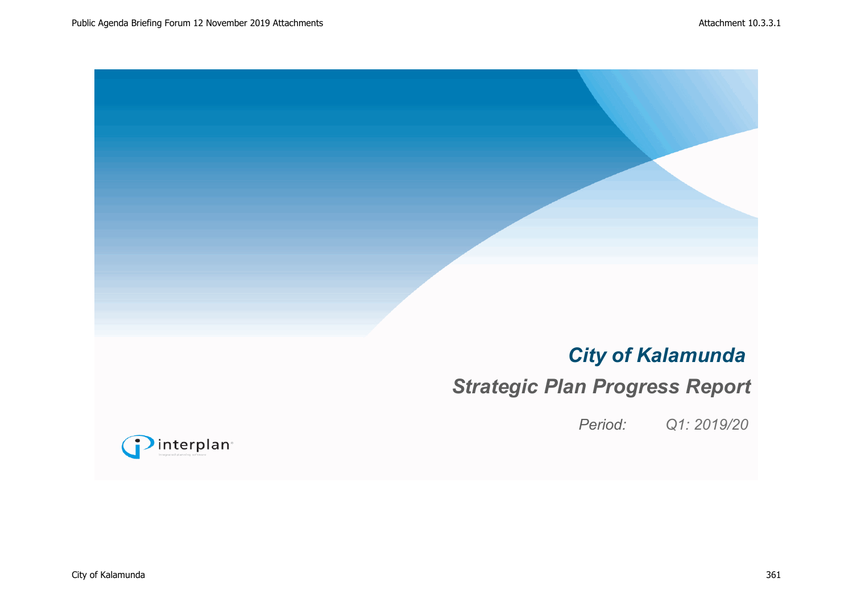# *City of Kalamunda*

# *Strategic Plan Progress Report*

*Period: Q1: 2019/20*

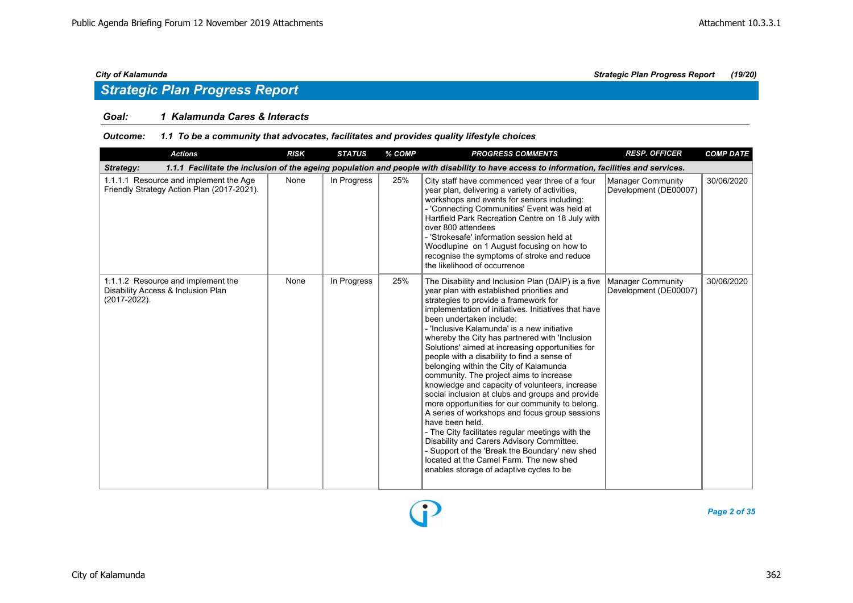### *Goal: 1 Kalamunda Cares & Interacts*

### *Outcome: 1.1 To be a community that advocates, facilitates and provides quality lifestyle choices*

| <b>Actions</b>                                                                                                                                          | <b>RISK</b> | <b>STATUS</b> | % COMP | <b>PROGRESS COMMENTS</b>                                                                                                                                                                                                                                                                                                                                                                                                                                                                                                                                                                                                                                                                                                                                                                                                                                                                                                                                                                      | <b>RESP. OFFICER</b>                       | <b>COMP DATE</b> |  |  |  |  |
|---------------------------------------------------------------------------------------------------------------------------------------------------------|-------------|---------------|--------|-----------------------------------------------------------------------------------------------------------------------------------------------------------------------------------------------------------------------------------------------------------------------------------------------------------------------------------------------------------------------------------------------------------------------------------------------------------------------------------------------------------------------------------------------------------------------------------------------------------------------------------------------------------------------------------------------------------------------------------------------------------------------------------------------------------------------------------------------------------------------------------------------------------------------------------------------------------------------------------------------|--------------------------------------------|------------------|--|--|--|--|
| 1.1.1 Facilitate the inclusion of the ageing population and people with disability to have access to information, facilities and services.<br>Strategy: |             |               |        |                                                                                                                                                                                                                                                                                                                                                                                                                                                                                                                                                                                                                                                                                                                                                                                                                                                                                                                                                                                               |                                            |                  |  |  |  |  |
| 1.1.1.1 Resource and implement the Age<br>Friendly Strategy Action Plan (2017-2021).                                                                    | None        | In Progress   | 25%    | City staff have commenced year three of a four<br>year plan, delivering a variety of activities,<br>workshops and events for seniors including:<br>- 'Connecting Communities' Event was held at<br>Hartfield Park Recreation Centre on 18 July with<br>over 800 attendees<br>- 'Strokesafe' information session held at<br>Woodlupine on 1 August focusing on how to<br>recognise the symptoms of stroke and reduce<br>the likelihood of occurrence                                                                                                                                                                                                                                                                                                                                                                                                                                                                                                                                           | Manager Community<br>Development (DE00007) | 30/06/2020       |  |  |  |  |
| 1.1.1.2 Resource and implement the<br>Disability Access & Inclusion Plan<br>$(2017 - 2022)$ .                                                           | None        | In Progress   | 25%    | The Disability and Inclusion Plan (DAIP) is a five<br>year plan with established priorities and<br>strategies to provide a framework for<br>implementation of initiatives. Initiatives that have<br>been undertaken include:<br>- 'Inclusive Kalamunda' is a new initiative<br>whereby the City has partnered with 'Inclusion<br>Solutions' aimed at increasing opportunities for<br>people with a disability to find a sense of<br>belonging within the City of Kalamunda<br>community. The project aims to increase<br>knowledge and capacity of volunteers, increase<br>social inclusion at clubs and groups and provide<br>more opportunities for our community to belong.<br>A series of workshops and focus group sessions<br>have been held.<br>- The City facilitates regular meetings with the<br>Disability and Carers Advisory Committee.<br>- Support of the 'Break the Boundary' new shed<br>located at the Camel Farm. The new shed<br>enables storage of adaptive cycles to be | Manager Community<br>Development (DE00007) | 30/06/2020       |  |  |  |  |

D

*Page 2 of 35*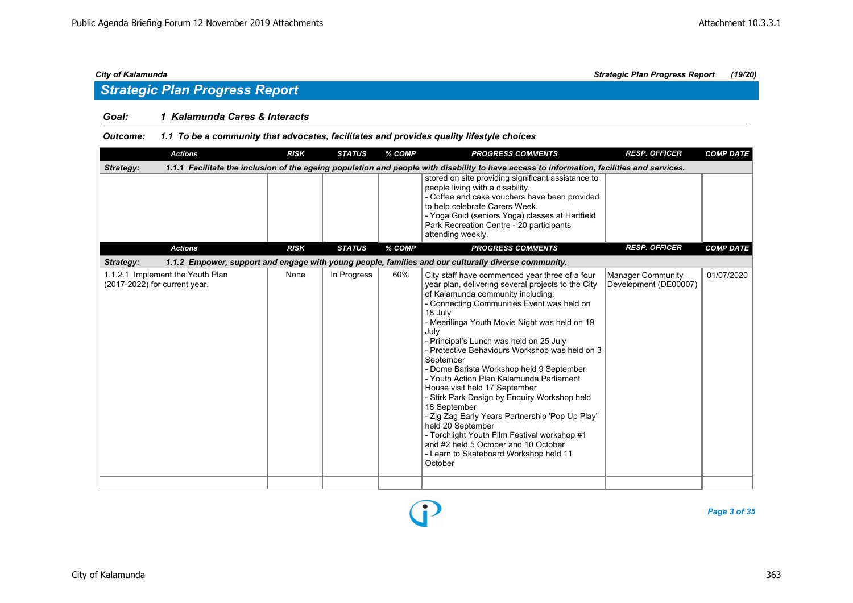### *Goal: 1 Kalamunda Cares & Interacts*

### *Outcome: 1.1 To be a community that advocates, facilitates and provides quality lifestyle choices*

| <b>Actions</b>                                                                                                                                          | <b>RISK</b> | <b>STATUS</b> | % COMP | <b>PROGRESS COMMENTS</b>                                                                                                                                                                                                                                                                                                                                                                                                                                                                                                                                                                                                                                                                                                                                                            | <b>RESP. OFFICER</b>                              | <b>COMP DATE</b> |  |  |  |  |  |
|---------------------------------------------------------------------------------------------------------------------------------------------------------|-------------|---------------|--------|-------------------------------------------------------------------------------------------------------------------------------------------------------------------------------------------------------------------------------------------------------------------------------------------------------------------------------------------------------------------------------------------------------------------------------------------------------------------------------------------------------------------------------------------------------------------------------------------------------------------------------------------------------------------------------------------------------------------------------------------------------------------------------------|---------------------------------------------------|------------------|--|--|--|--|--|
| 1.1.1 Facilitate the inclusion of the ageing population and people with disability to have access to information, facilities and services.<br>Strategy: |             |               |        |                                                                                                                                                                                                                                                                                                                                                                                                                                                                                                                                                                                                                                                                                                                                                                                     |                                                   |                  |  |  |  |  |  |
|                                                                                                                                                         |             |               |        | stored on site providing significant assistance to<br>people living with a disability.<br>- Coffee and cake vouchers have been provided<br>to help celebrate Carers Week.<br>- Yoga Gold (seniors Yoga) classes at Hartfield<br>Park Recreation Centre - 20 participants<br>attending weekly.                                                                                                                                                                                                                                                                                                                                                                                                                                                                                       |                                                   |                  |  |  |  |  |  |
| <b>Actions</b>                                                                                                                                          | <b>RISK</b> | <b>STATUS</b> | % COMP | <b>PROGRESS COMMENTS</b>                                                                                                                                                                                                                                                                                                                                                                                                                                                                                                                                                                                                                                                                                                                                                            | <b>RESP. OFFICER</b>                              | <b>COMP DATE</b> |  |  |  |  |  |
| Strategy:                                                                                                                                               |             |               |        | 1.1.2 Empower, support and engage with young people, families and our culturally diverse community.                                                                                                                                                                                                                                                                                                                                                                                                                                                                                                                                                                                                                                                                                 |                                                   |                  |  |  |  |  |  |
| 1.1.2.1 Implement the Youth Plan<br>(2017-2022) for current year.                                                                                       | None        | In Progress   | 60%    | City staff have commenced year three of a four<br>year plan, delivering several projects to the City<br>of Kalamunda community including:<br>- Connecting Communities Event was held on<br>18 July<br>- Meerilinga Youth Movie Night was held on 19<br>July<br>- Principal's Lunch was held on 25 July<br>- Protective Behaviours Workshop was held on 3<br>September<br>- Dome Barista Workshop held 9 September<br>- Youth Action Plan Kalamunda Parliament<br>House visit held 17 September<br>- Stirk Park Design by Enquiry Workshop held<br>18 September<br>- Zig Zag Early Years Partnership 'Pop Up Play'<br>held 20 September<br>- Torchlight Youth Film Festival workshop #1<br>and #2 held 5 October and 10 October<br>- Learn to Skateboard Workshop held 11<br>October | <b>Manager Community</b><br>Development (DE00007) | 01/07/2020       |  |  |  |  |  |
|                                                                                                                                                         |             |               |        |                                                                                                                                                                                                                                                                                                                                                                                                                                                                                                                                                                                                                                                                                                                                                                                     |                                                   |                  |  |  |  |  |  |

D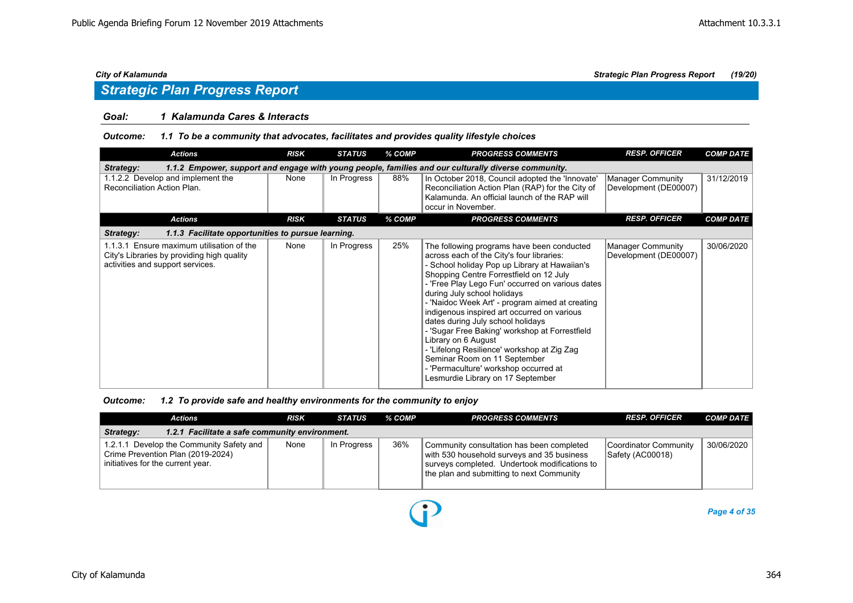### *Goal: 1 Kalamunda Cares & Interacts*

### *Outcome: 1.1 To be a community that advocates, facilitates and provides quality lifestyle choices*

| <b>Actions</b>                                                                                                              | <b>RISK</b> | <b>STATUS</b> | % COMP | <b>PROGRESS COMMENTS</b>                                                                                                                                                                                                                                                                                                                                                                                                                                                                                                                                                                                                                            | <b>RESP. OFFICER</b>                              | <b>COMP DATE</b> |  |  |  |  |
|-----------------------------------------------------------------------------------------------------------------------------|-------------|---------------|--------|-----------------------------------------------------------------------------------------------------------------------------------------------------------------------------------------------------------------------------------------------------------------------------------------------------------------------------------------------------------------------------------------------------------------------------------------------------------------------------------------------------------------------------------------------------------------------------------------------------------------------------------------------------|---------------------------------------------------|------------------|--|--|--|--|
| 1.1.2 Empower, support and engage with young people, families and our culturally diverse community.<br><b>Strategy:</b>     |             |               |        |                                                                                                                                                                                                                                                                                                                                                                                                                                                                                                                                                                                                                                                     |                                                   |                  |  |  |  |  |
| 1.1.2.2 Develop and implement the<br>Reconciliation Action Plan.                                                            | None        | In Progress   | 88%    | In October 2018, Council adopted the 'Innovate'<br>Reconciliation Action Plan (RAP) for the City of<br>Kalamunda. An official launch of the RAP will<br>occur in November.                                                                                                                                                                                                                                                                                                                                                                                                                                                                          | Manager Community<br>Development (DE00007)        | 31/12/2019       |  |  |  |  |
| <b>Actions</b>                                                                                                              | <b>RISK</b> | <b>STATUS</b> | % COMP | <b>PROGRESS COMMENTS</b>                                                                                                                                                                                                                                                                                                                                                                                                                                                                                                                                                                                                                            | <b>RESP. OFFICER</b>                              | <b>COMP DATE</b> |  |  |  |  |
| Strategy:<br>1.1.3 Facilitate opportunities to pursue learning.                                                             |             |               |        |                                                                                                                                                                                                                                                                                                                                                                                                                                                                                                                                                                                                                                                     |                                                   |                  |  |  |  |  |
| 1.1.3.1 Ensure maximum utilisation of the<br>City's Libraries by providing high quality<br>activities and support services. | None        | In Progress   | 25%    | The following programs have been conducted<br>across each of the City's four libraries:<br>- School holiday Pop up Library at Hawaiian's<br>Shopping Centre Forrestfield on 12 July<br>- 'Free Play Lego Fun' occurred on various dates<br>during July school holidays<br>- 'Naidoc Week Art' - program aimed at creating<br>indigenous inspired art occurred on various<br>dates during July school holidays<br>- 'Sugar Free Baking' workshop at Forrestfield<br>Library on 6 August<br>- 'Lifelong Resilience' workshop at Zig Zag<br>Seminar Room on 11 September<br>- 'Permaculture' workshop occurred at<br>Lesmurdie Library on 17 September | <b>Manager Community</b><br>Development (DE00007) | 30/06/2020       |  |  |  |  |

### *Outcome: 1.2 To provide safe and healthy environments for the community to enjoy*

|                                                             | Actions                                                                                                            | <b>RISK</b> | STATUS      | % COMP | <b>PROGRESS COMMENTS</b>                                                                                                                                                              | <b>RESP. OFFICER</b>                      | <b>COMP DATE</b> |  |  |  |
|-------------------------------------------------------------|--------------------------------------------------------------------------------------------------------------------|-------------|-------------|--------|---------------------------------------------------------------------------------------------------------------------------------------------------------------------------------------|-------------------------------------------|------------------|--|--|--|
| 1.2.1 Facilitate a safe community environment.<br>Strategy: |                                                                                                                    |             |             |        |                                                                                                                                                                                       |                                           |                  |  |  |  |
|                                                             | 1.2.1.1 Develop the Community Safety and<br>Crime Prevention Plan (2019-2024)<br>initiatives for the current year. | None        | In Progress | 36%    | Community consultation has been completed<br>with 530 household surveys and 35 business<br>surveys completed. Undertook modifications to<br>the plan and submitting to next Community | Coordinator Community<br>Safety (AC00018) | 30/06/2020       |  |  |  |

 $\bf{D}$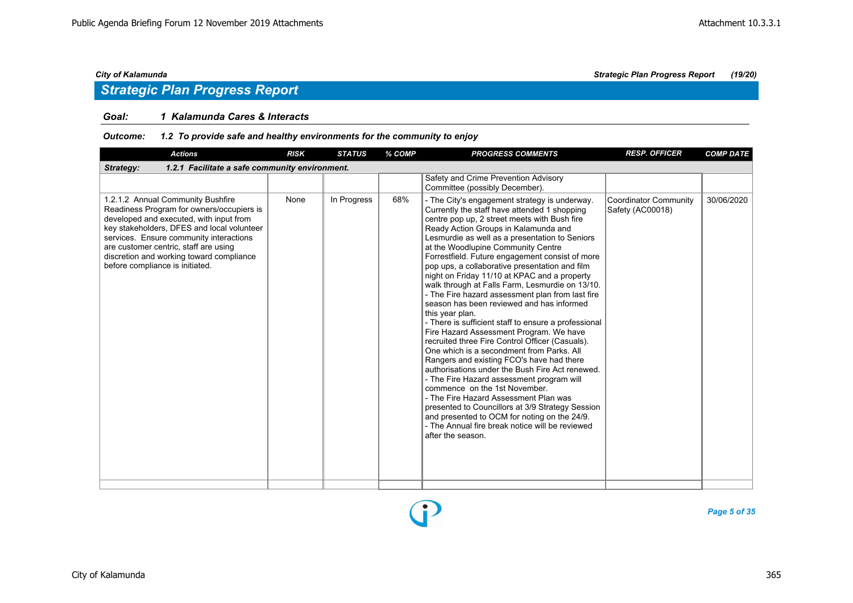### *Goal: 1 Kalamunda Cares & Interacts*

### *Outcome: 1.2 To provide safe and healthy environments for the community to enjoy*

| <b>Actions</b>                                                                                                                                                                                                                                                                                                                             | <b>RISK</b> | <b>STATUS</b> | % COMP | <b>PROGRESS COMMENTS</b>                                                                                                                                                                                                                                                                                                                                                                                                                                                                                                                                                                                                                                                                                                                                                                                                                                                                                                                                                                                                                                                                                                                                                                                        | <b>RESP. OFFICER</b>                      | <b>COMP DATE</b> |  |  |  |  |
|--------------------------------------------------------------------------------------------------------------------------------------------------------------------------------------------------------------------------------------------------------------------------------------------------------------------------------------------|-------------|---------------|--------|-----------------------------------------------------------------------------------------------------------------------------------------------------------------------------------------------------------------------------------------------------------------------------------------------------------------------------------------------------------------------------------------------------------------------------------------------------------------------------------------------------------------------------------------------------------------------------------------------------------------------------------------------------------------------------------------------------------------------------------------------------------------------------------------------------------------------------------------------------------------------------------------------------------------------------------------------------------------------------------------------------------------------------------------------------------------------------------------------------------------------------------------------------------------------------------------------------------------|-------------------------------------------|------------------|--|--|--|--|
| 1.2.1 Facilitate a safe community environment.<br>Strategy:                                                                                                                                                                                                                                                                                |             |               |        |                                                                                                                                                                                                                                                                                                                                                                                                                                                                                                                                                                                                                                                                                                                                                                                                                                                                                                                                                                                                                                                                                                                                                                                                                 |                                           |                  |  |  |  |  |
|                                                                                                                                                                                                                                                                                                                                            |             |               |        | Safety and Crime Prevention Advisory<br>Committee (possibly December).                                                                                                                                                                                                                                                                                                                                                                                                                                                                                                                                                                                                                                                                                                                                                                                                                                                                                                                                                                                                                                                                                                                                          |                                           |                  |  |  |  |  |
| 1.2.1.2 Annual Community Bushfire<br>Readiness Program for owners/occupiers is<br>developed and executed, with input from<br>key stakeholders, DFES and local volunteer<br>services. Ensure community interactions<br>are customer centric, staff are using<br>discretion and working toward compliance<br>before compliance is initiated. | None        | In Progress   | 68%    | - The City's engagement strategy is underway.<br>Currently the staff have attended 1 shopping<br>centre pop up, 2 street meets with Bush fire<br>Ready Action Groups in Kalamunda and<br>Lesmurdie as well as a presentation to Seniors<br>at the Woodlupine Community Centre<br>Forrestfield. Future engagement consist of more<br>pop ups, a collaborative presentation and film<br>night on Friday 11/10 at KPAC and a property<br>walk through at Falls Farm, Lesmurdie on 13/10.<br>- The Fire hazard assessment plan from last fire<br>season has been reviewed and has informed<br>this year plan.<br>- There is sufficient staff to ensure a professional<br>Fire Hazard Assessment Program. We have<br>recruited three Fire Control Officer (Casuals).<br>One which is a secondment from Parks, All<br>Rangers and existing FCO's have had there<br>authorisations under the Bush Fire Act renewed.<br>- The Fire Hazard assessment program will<br>commence on the 1st November.<br>- The Fire Hazard Assessment Plan was<br>presented to Councillors at 3/9 Strategy Session<br>and presented to OCM for noting on the 24/9.<br>- The Annual fire break notice will be reviewed<br>after the season. | Coordinator Community<br>Safety (AC00018) | 30/06/2020       |  |  |  |  |
|                                                                                                                                                                                                                                                                                                                                            |             |               |        |                                                                                                                                                                                                                                                                                                                                                                                                                                                                                                                                                                                                                                                                                                                                                                                                                                                                                                                                                                                                                                                                                                                                                                                                                 |                                           |                  |  |  |  |  |

D

*Page 5 of 35*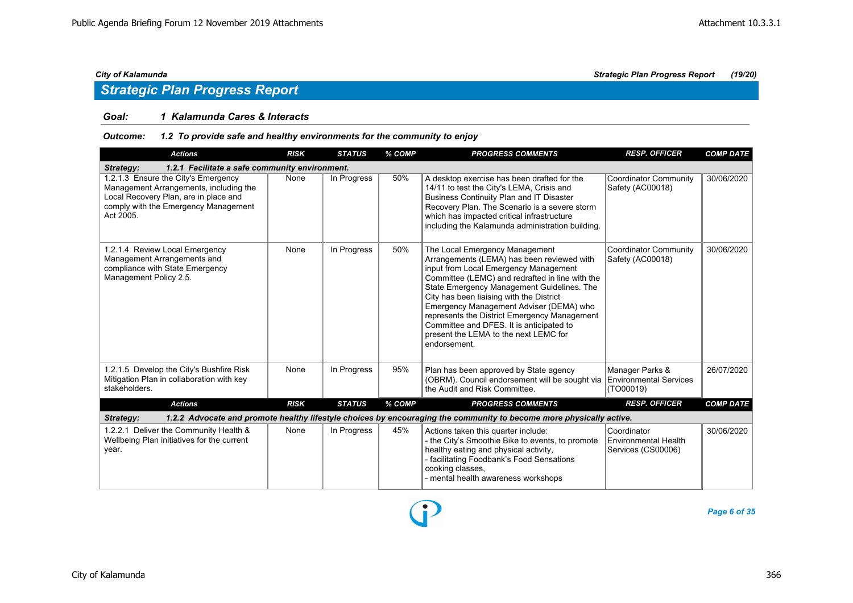### *Goal: 1 Kalamunda Cares & Interacts*

### *Outcome: 1.2 To provide safe and healthy environments for the community to enjoy*

| <b>Actions</b>                                                                                                                                                              | <b>RISK</b> | <b>STATUS</b> | % COMP | <b>PROGRESS COMMENTS</b>                                                                                                                                                                                                                                                                                                                                                                                                                                           | <b>RESP. OFFICER</b>                                             | <b>COMP DATE</b> |  |  |  |  |
|-----------------------------------------------------------------------------------------------------------------------------------------------------------------------------|-------------|---------------|--------|--------------------------------------------------------------------------------------------------------------------------------------------------------------------------------------------------------------------------------------------------------------------------------------------------------------------------------------------------------------------------------------------------------------------------------------------------------------------|------------------------------------------------------------------|------------------|--|--|--|--|
| 1.2.1 Facilitate a safe community environment.<br>Strategy:                                                                                                                 |             |               |        |                                                                                                                                                                                                                                                                                                                                                                                                                                                                    |                                                                  |                  |  |  |  |  |
| 1.2.1.3 Ensure the City's Emergency<br>Management Arrangements, including the<br>Local Recovery Plan, are in place and<br>comply with the Emergency Management<br>Act 2005. | None        | In Progress   | 50%    | A desktop exercise has been drafted for the<br>14/11 to test the City's LEMA, Crisis and<br><b>Business Continuity Plan and IT Disaster</b><br>Recovery Plan. The Scenario is a severe storm<br>which has impacted critical infrastructure<br>including the Kalamunda administration building.                                                                                                                                                                     | <b>Coordinator Community</b><br>Safety (AC00018)                 | 30/06/2020       |  |  |  |  |
| 1.2.1.4 Review Local Emergency<br>Management Arrangements and<br>compliance with State Emergency<br>Management Policy 2.5.                                                  | None        | In Progress   | 50%    | The Local Emergency Management<br>Arrangements (LEMA) has been reviewed with<br>input from Local Emergency Management<br>Committee (LEMC) and redrafted in line with the<br>State Emergency Management Guidelines. The<br>City has been liaising with the District<br>Emergency Management Adviser (DEMA) who<br>represents the District Emergency Management<br>Committee and DFES. It is anticipated to<br>present the LEMA to the next LEMC for<br>endorsement. | <b>Coordinator Community</b><br>Safety (AC00018)                 | 30/06/2020       |  |  |  |  |
| 1.2.1.5 Develop the City's Bushfire Risk<br>Mitigation Plan in collaboration with key<br>stakeholders.                                                                      | None        | In Progress   | 95%    | Plan has been approved by State agency<br>(OBRM). Council endorsement will be sought via<br>the Audit and Risk Committee.                                                                                                                                                                                                                                                                                                                                          | Manager Parks &<br><b>Environmental Services</b><br>(TO00019)    | 26/07/2020       |  |  |  |  |
| <b>Actions</b>                                                                                                                                                              | <b>RISK</b> | <b>STATUS</b> | % COMP | <b>PROGRESS COMMENTS</b>                                                                                                                                                                                                                                                                                                                                                                                                                                           | <b>RESP. OFFICER</b>                                             | <b>COMP DATE</b> |  |  |  |  |
| Strategy:                                                                                                                                                                   |             |               |        | 1.2.2 Advocate and promote healthy lifestyle choices by encouraging the community to become more physically active.                                                                                                                                                                                                                                                                                                                                                |                                                                  |                  |  |  |  |  |
| 1.2.2.1 Deliver the Community Health &<br>Wellbeing Plan initiatives for the current<br>year.                                                                               | None        | In Progress   | 45%    | Actions taken this quarter include:<br>- the City's Smoothie Bike to events, to promote<br>healthy eating and physical activity,<br>- facilitating Foodbank's Food Sensations<br>cooking classes,<br>- mental health awareness workshops                                                                                                                                                                                                                           | Coordinator<br><b>Environmental Health</b><br>Services (CS00006) | 30/06/2020       |  |  |  |  |

D

*Page 6 of 35*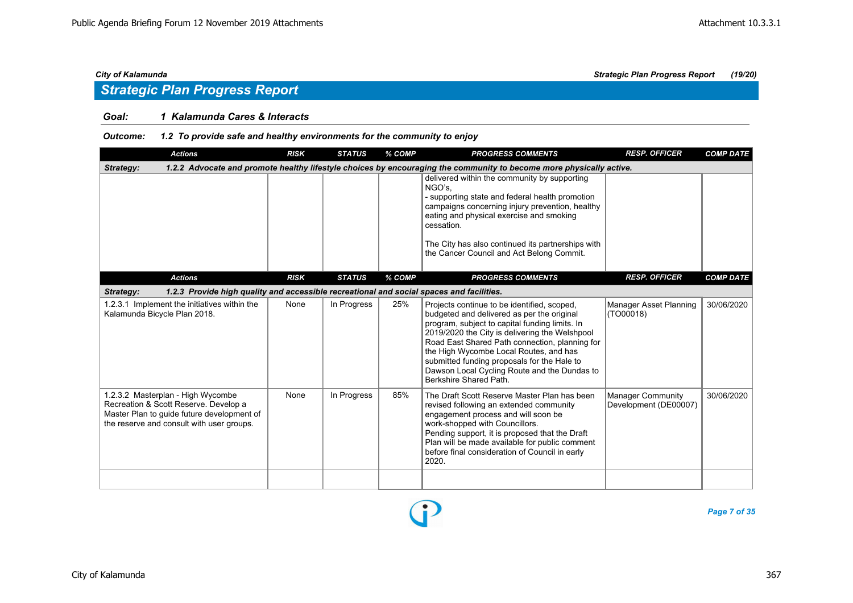### *Goal: 1 Kalamunda Cares & Interacts*

### *Outcome: 1.2 To provide safe and healthy environments for the community to enjoy*

| <b>Actions</b>                                                                                                                                                        | <b>RISK</b> | <b>STATUS</b> | % COMP | <b>PROGRESS COMMENTS</b>                                                                                                                                                                                                                                                                                                                                                                                           | <b>RESP. OFFICER</b>                              | <b>COMP DATE</b> |  |  |  |  |
|-----------------------------------------------------------------------------------------------------------------------------------------------------------------------|-------------|---------------|--------|--------------------------------------------------------------------------------------------------------------------------------------------------------------------------------------------------------------------------------------------------------------------------------------------------------------------------------------------------------------------------------------------------------------------|---------------------------------------------------|------------------|--|--|--|--|
| 1.2.2 Advocate and promote healthy lifestyle choices by encouraging the community to become more physically active.<br>Strategy:                                      |             |               |        |                                                                                                                                                                                                                                                                                                                                                                                                                    |                                                   |                  |  |  |  |  |
|                                                                                                                                                                       |             |               |        | delivered within the community by supporting<br>NGO's,<br>- supporting state and federal health promotion<br>campaigns concerning injury prevention, healthy<br>eating and physical exercise and smoking<br>cessation.<br>The City has also continued its partnerships with<br>the Cancer Council and Act Belong Commit.                                                                                           |                                                   |                  |  |  |  |  |
| <b>Actions</b>                                                                                                                                                        | <b>RISK</b> | <b>STATUS</b> | % COMP | <b>PROGRESS COMMENTS</b>                                                                                                                                                                                                                                                                                                                                                                                           | <b>RESP. OFFICER</b>                              | <b>COMP DATE</b> |  |  |  |  |
| 1.2.3 Provide high quality and accessible recreational and social spaces and facilities.<br>Strategy:                                                                 |             |               |        |                                                                                                                                                                                                                                                                                                                                                                                                                    |                                                   |                  |  |  |  |  |
| 1.2.3.1 Implement the initiatives within the<br>Kalamunda Bicycle Plan 2018.                                                                                          | None        | In Progress   | 25%    | Projects continue to be identified, scoped,<br>budgeted and delivered as per the original<br>program, subject to capital funding limits. In<br>2019/2020 the City is delivering the Welshpool<br>Road East Shared Path connection, planning for<br>the High Wycombe Local Routes, and has<br>submitted funding proposals for the Hale to<br>Dawson Local Cycling Route and the Dundas to<br>Berkshire Shared Path. | Manager Asset Planning<br>(TO00018)               | 30/06/2020       |  |  |  |  |
| 1.2.3.2 Masterplan - High Wycombe<br>Recreation & Scott Reserve. Develop a<br>Master Plan to quide future development of<br>the reserve and consult with user groups. | None        | In Progress   | 85%    | The Draft Scott Reserve Master Plan has been<br>revised following an extended community<br>engagement process and will soon be<br>work-shopped with Councillors.<br>Pending support, it is proposed that the Draft<br>Plan will be made available for public comment<br>before final consideration of Council in early<br>2020.                                                                                    | <b>Manager Community</b><br>Development (DE00007) | 30/06/2020       |  |  |  |  |
|                                                                                                                                                                       |             |               |        |                                                                                                                                                                                                                                                                                                                                                                                                                    |                                                   |                  |  |  |  |  |

P

*Page 7 of 35*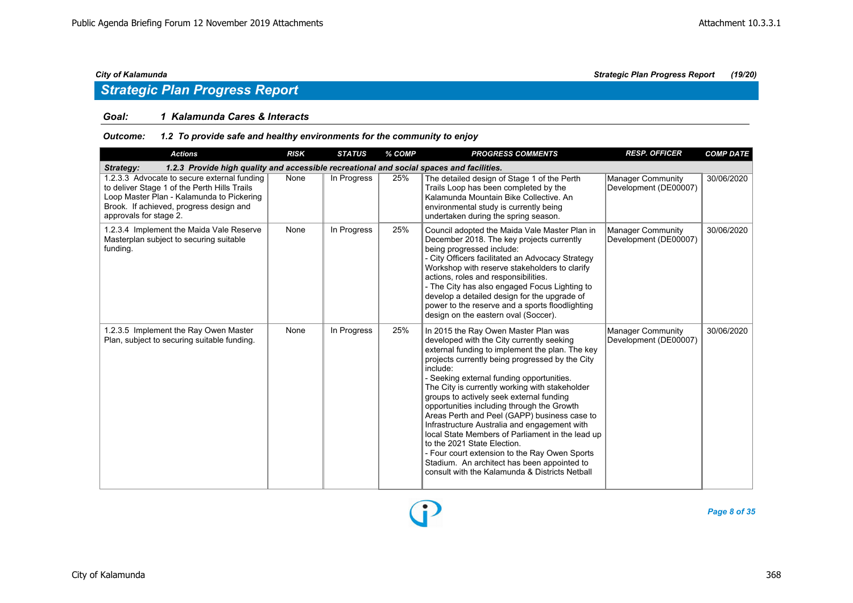### *Goal: 1 Kalamunda Cares & Interacts*

### *Outcome: 1.2 To provide safe and healthy environments for the community to enjoy*

| <b>Actions</b>                                                                                                                                                                                                | <b>RISK</b> | <b>STATUS</b> | % COMP | <b>PROGRESS COMMENTS</b>                                                                                                                                                                                                                                                                                                                                                                                                                                                                                                                                                                                                                                                                                                          | <b>RESP. OFFICER</b>                              | <b>COMP DATE</b> |  |  |  |  |
|---------------------------------------------------------------------------------------------------------------------------------------------------------------------------------------------------------------|-------------|---------------|--------|-----------------------------------------------------------------------------------------------------------------------------------------------------------------------------------------------------------------------------------------------------------------------------------------------------------------------------------------------------------------------------------------------------------------------------------------------------------------------------------------------------------------------------------------------------------------------------------------------------------------------------------------------------------------------------------------------------------------------------------|---------------------------------------------------|------------------|--|--|--|--|
| 1.2.3 Provide high quality and accessible recreational and social spaces and facilities.<br>Strategy:                                                                                                         |             |               |        |                                                                                                                                                                                                                                                                                                                                                                                                                                                                                                                                                                                                                                                                                                                                   |                                                   |                  |  |  |  |  |
| 1.2.3.3 Advocate to secure external funding<br>to deliver Stage 1 of the Perth Hills Trails<br>Loop Master Plan - Kalamunda to Pickering<br>Brook. If achieved, progress design and<br>approvals for stage 2. | None        | In Progress   | 25%    | The detailed design of Stage 1 of the Perth<br>Trails Loop has been completed by the<br>Kalamunda Mountain Bike Collective, An<br>environmental study is currently being<br>undertaken during the spring season.                                                                                                                                                                                                                                                                                                                                                                                                                                                                                                                  | Manager Community<br>Development (DE00007)        | 30/06/2020       |  |  |  |  |
| 1.2.3.4 Implement the Maida Vale Reserve<br>Masterplan subject to securing suitable<br>funding.                                                                                                               | None        | In Progress   | 25%    | Council adopted the Maida Vale Master Plan in<br>December 2018. The key projects currently<br>being progressed include:<br>- City Officers facilitated an Advocacy Strategy<br>Workshop with reserve stakeholders to clarify<br>actions, roles and responsibilities.<br>- The City has also engaged Focus Lighting to<br>develop a detailed design for the upgrade of<br>power to the reserve and a sports floodlighting<br>design on the eastern oval (Soccer).                                                                                                                                                                                                                                                                  | Manager Community<br>Development (DE00007)        | 30/06/2020       |  |  |  |  |
| 1.2.3.5 Implement the Ray Owen Master<br>Plan, subject to securing suitable funding.                                                                                                                          | None        | In Progress   | 25%    | In 2015 the Ray Owen Master Plan was<br>developed with the City currently seeking<br>external funding to implement the plan. The key<br>projects currently being progressed by the City<br>include:<br>- Seeking external funding opportunities.<br>The City is currently working with stakeholder<br>groups to actively seek external funding<br>opportunities including through the Growth<br>Areas Perth and Peel (GAPP) business case to<br>Infrastructure Australia and engagement with<br>local State Members of Parliament in the lead up<br>to the 2021 State Election.<br>- Four court extension to the Ray Owen Sports<br>Stadium. An architect has been appointed to<br>consult with the Kalamunda & Districts Netball | <b>Manager Community</b><br>Development (DE00007) | 30/06/2020       |  |  |  |  |

*Page 8 of 35*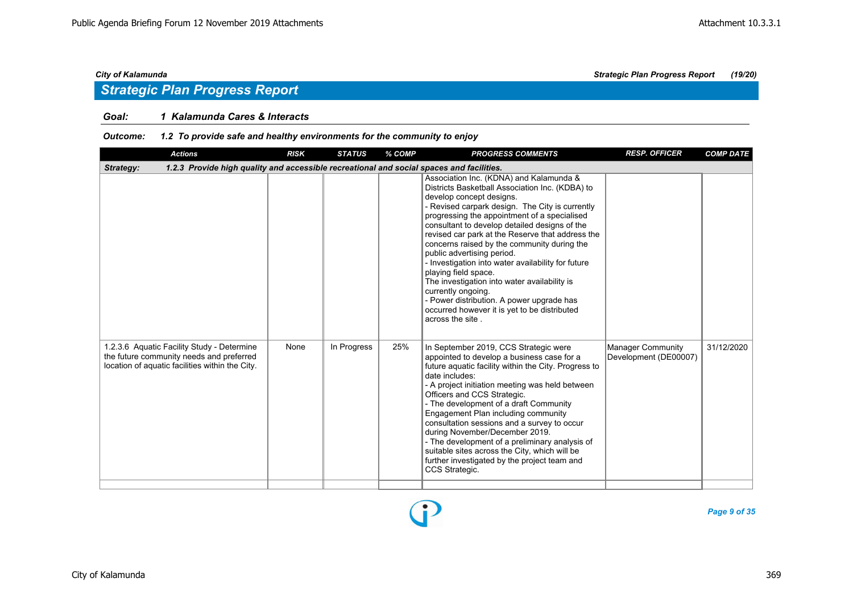### *Goal: 1 Kalamunda Cares & Interacts*

### *Outcome: 1.2 To provide safe and healthy environments for the community to enjoy*

| <b>Actions</b>                                                                                                                            | <b>RISK</b> | <b>STATUS</b> | % COMP | <b>PROGRESS COMMENTS</b>                                                                                                                                                                                                                                                                                                                                                                                                                                                                                                                                                                                                                                                         | <b>RESP. OFFICER</b>                              | <b>COMP DATE</b> |  |  |  |  |
|-------------------------------------------------------------------------------------------------------------------------------------------|-------------|---------------|--------|----------------------------------------------------------------------------------------------------------------------------------------------------------------------------------------------------------------------------------------------------------------------------------------------------------------------------------------------------------------------------------------------------------------------------------------------------------------------------------------------------------------------------------------------------------------------------------------------------------------------------------------------------------------------------------|---------------------------------------------------|------------------|--|--|--|--|
| 1.2.3 Provide high quality and accessible recreational and social spaces and facilities.<br>Strategy:                                     |             |               |        |                                                                                                                                                                                                                                                                                                                                                                                                                                                                                                                                                                                                                                                                                  |                                                   |                  |  |  |  |  |
|                                                                                                                                           |             |               |        | Association Inc. (KDNA) and Kalamunda &<br>Districts Basketball Association Inc. (KDBA) to<br>develop concept designs.<br>- Revised carpark design. The City is currently<br>progressing the appointment of a specialised<br>consultant to develop detailed designs of the<br>revised car park at the Reserve that address the<br>concerns raised by the community during the<br>public advertising period.<br>- Investigation into water availability for future<br>playing field space.<br>The investigation into water availability is<br>currently ongoing.<br>- Power distribution. A power upgrade has<br>occurred however it is yet to be distributed<br>across the site. |                                                   |                  |  |  |  |  |
| 1.2.3.6 Aquatic Facility Study - Determine<br>the future community needs and preferred<br>location of aquatic facilities within the City. | None        | In Progress   | 25%    | In September 2019, CCS Strategic were<br>appointed to develop a business case for a<br>future aquatic facility within the City. Progress to<br>date includes:<br>- A project initiation meeting was held between<br>Officers and CCS Strategic.<br>- The development of a draft Community<br>Engagement Plan including community<br>consultation sessions and a survey to occur<br>during November/December 2019.<br>- The development of a preliminary analysis of<br>suitable sites across the City, which will be<br>further investigated by the project team and<br>CCS Strategic.                                                                                           | <b>Manager Community</b><br>Development (DE00007) | 31/12/2020       |  |  |  |  |

Ŧ

*Page 9 of 35*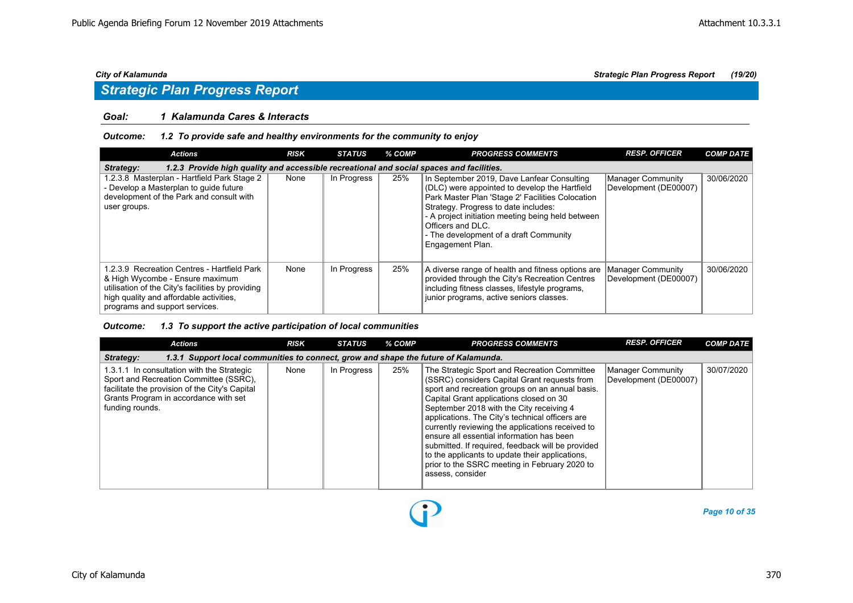### *Goal: 1 Kalamunda Cares & Interacts*

### *Outcome: 1.2 To provide safe and healthy environments for the community to enjoy*

| <b>Actions</b>                                                                                                                                                                                                   | <b>RISK</b> | <b>STATUS</b> | % COMP | <b>PROGRESS COMMENTS</b>                                                                                                                                                                                                                                                                                                        | <b>RESP. OFFICER</b>                       | <b>COMP DATE</b> |  |  |  |  |
|------------------------------------------------------------------------------------------------------------------------------------------------------------------------------------------------------------------|-------------|---------------|--------|---------------------------------------------------------------------------------------------------------------------------------------------------------------------------------------------------------------------------------------------------------------------------------------------------------------------------------|--------------------------------------------|------------------|--|--|--|--|
| 1.2.3 Provide high quality and accessible recreational and social spaces and facilities.<br>Strategy:                                                                                                            |             |               |        |                                                                                                                                                                                                                                                                                                                                 |                                            |                  |  |  |  |  |
| 1.2.3.8 Masterplan - Hartfield Park Stage 2<br>- Develop a Masterplan to quide future<br>development of the Park and consult with<br>user groups.                                                                | None        | In Progress   | 25%    | In September 2019, Dave Lanfear Consulting<br>(DLC) were appointed to develop the Hartfield<br>Park Master Plan 'Stage 2' Facilities Colocation<br>Strategy. Progress to date includes:<br>- A project initiation meeting being held between<br>Officers and DLC.<br>- The development of a draft Community<br>Engagement Plan. | Manager Community<br>Development (DE00007) | 30/06/2020       |  |  |  |  |
| 1.2.3.9 Recreation Centres - Hartfield Park<br>& High Wycombe - Ensure maximum<br>utilisation of the City's facilities by providing<br>high quality and affordable activities,<br>programs and support services. | None        | In Progress   | 25%    | A diverse range of health and fitness options are<br>provided through the City's Recreation Centres<br>including fitness classes, lifestyle programs,<br>junior programs, active seniors classes.                                                                                                                               | Manager Community<br>Development (DE00007) | 30/06/2020       |  |  |  |  |

### *Outcome: 1.3 To support the active participation of local communities*

| <b>Actions</b>                                                                                                                                                                                     | <b>RISK</b> | <b>STATUS</b> | % COMP | <b>PROGRESS COMMENTS</b>                                                                                                                                                                                                                                                                                                                                                                                                                                                                                                                                                | <b>RESP. OFFICER</b>                       | <b>COMP DATE</b> |  |  |  |  |
|----------------------------------------------------------------------------------------------------------------------------------------------------------------------------------------------------|-------------|---------------|--------|-------------------------------------------------------------------------------------------------------------------------------------------------------------------------------------------------------------------------------------------------------------------------------------------------------------------------------------------------------------------------------------------------------------------------------------------------------------------------------------------------------------------------------------------------------------------------|--------------------------------------------|------------------|--|--|--|--|
| 1.3.1 Support local communities to connect, grow and shape the future of Kalamunda.<br>Strategy:                                                                                                   |             |               |        |                                                                                                                                                                                                                                                                                                                                                                                                                                                                                                                                                                         |                                            |                  |  |  |  |  |
| 1.3.1.1 In consultation with the Strategic<br>Sport and Recreation Committee (SSRC),<br>facilitate the provision of the City's Capital<br>Grants Program in accordance with set<br>funding rounds. | None        | In Progress   | 25%    | The Strategic Sport and Recreation Committee<br>(SSRC) considers Capital Grant requests from<br>sport and recreation groups on an annual basis.<br>Capital Grant applications closed on 30<br>September 2018 with the City receiving 4<br>applications. The City's technical officers are<br>currently reviewing the applications received to<br>ensure all essential information has been<br>submitted. If required, feedback will be provided<br>to the applicants to update their applications,<br>prior to the SSRC meeting in February 2020 to<br>assess, consider | Manager Community<br>Development (DE00007) | 30/07/2020       |  |  |  |  |

 $\bf{D}$ 

*Page 10 of 35*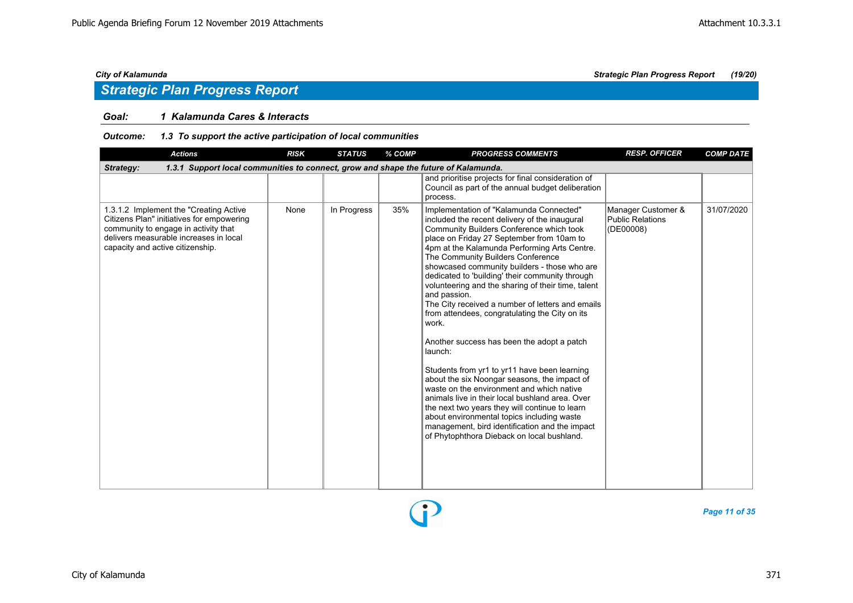## *Strategic Plan Progress Report*

### *Goal: 1 Kalamunda Cares & Interacts*

### *Outcome: 1.3 To support the active participation of local communities*

| <b>Actions</b>                                                                                                                                                                                             | <b>RISK</b> | <b>STATUS</b> | % COMP | <b>PROGRESS COMMENTS</b>                                                                                                                                                                                                                                                                                                                                                                                                                                                                                                                                                                                                                                                                                                                                                                                                                                                                                                                                                                                                | <b>RESP. OFFICER</b>                                       | <b>COMP DATE</b> |
|------------------------------------------------------------------------------------------------------------------------------------------------------------------------------------------------------------|-------------|---------------|--------|-------------------------------------------------------------------------------------------------------------------------------------------------------------------------------------------------------------------------------------------------------------------------------------------------------------------------------------------------------------------------------------------------------------------------------------------------------------------------------------------------------------------------------------------------------------------------------------------------------------------------------------------------------------------------------------------------------------------------------------------------------------------------------------------------------------------------------------------------------------------------------------------------------------------------------------------------------------------------------------------------------------------------|------------------------------------------------------------|------------------|
| 1.3.1 Support local communities to connect, grow and shape the future of Kalamunda.<br>Strategy:                                                                                                           |             |               |        |                                                                                                                                                                                                                                                                                                                                                                                                                                                                                                                                                                                                                                                                                                                                                                                                                                                                                                                                                                                                                         |                                                            |                  |
|                                                                                                                                                                                                            |             |               |        | and prioritise projects for final consideration of<br>Council as part of the annual budget deliberation<br>process.                                                                                                                                                                                                                                                                                                                                                                                                                                                                                                                                                                                                                                                                                                                                                                                                                                                                                                     |                                                            |                  |
| 1.3.1.2 Implement the "Creating Active"<br>Citizens Plan" initiatives for empowering<br>community to engage in activity that<br>delivers measurable increases in local<br>capacity and active citizenship. | None        | In Progress   | 35%    | Implementation of "Kalamunda Connected"<br>included the recent delivery of the inaugural<br>Community Builders Conference which took<br>place on Friday 27 September from 10am to<br>4pm at the Kalamunda Performing Arts Centre.<br>The Community Builders Conference<br>showcased community builders - those who are<br>dedicated to 'building' their community through<br>volunteering and the sharing of their time, talent<br>and passion.<br>The City received a number of letters and emails<br>from attendees, congratulating the City on its<br>work.<br>Another success has been the adopt a patch<br>launch:<br>Students from yr1 to yr11 have been learning<br>about the six Noongar seasons, the impact of<br>waste on the environment and which native<br>animals live in their local bushland area. Over<br>the next two years they will continue to learn<br>about environmental topics including waste<br>management, bird identification and the impact<br>of Phytophthora Dieback on local bushland. | Manager Customer &<br><b>Public Relations</b><br>(DE00008) | 31/07/2020       |

P

*Page 11 of 35*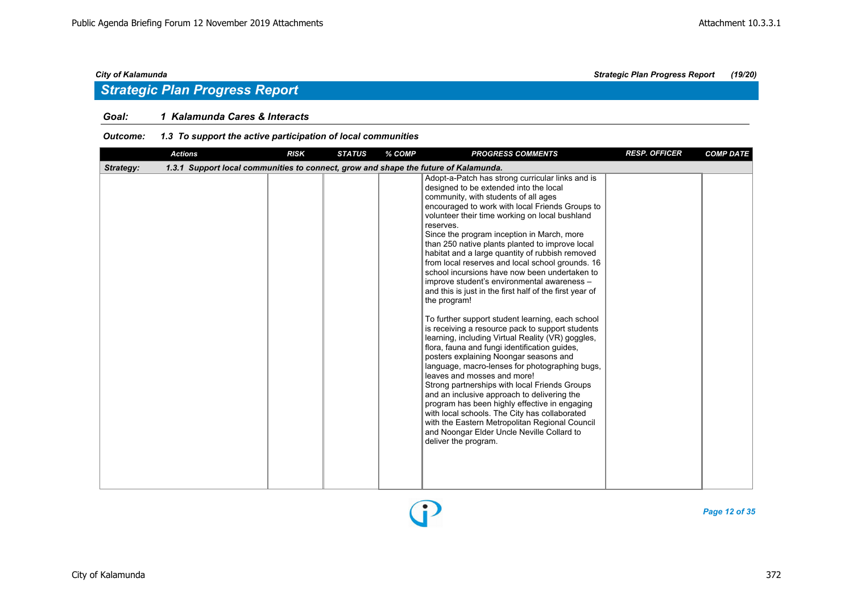### *Goal: 1 Kalamunda Cares & Interacts*

### *Outcome: 1.3 To support the active participation of local communities*

|           | <b>Actions</b>                                                                      | <b>RISK</b> | <b>STATUS</b> | % COMP | <b>PROGRESS COMMENTS</b>                                                                                                                                                                                                                                                                                                                                                                                                                                                                                                                                                                                                                                                                                                                                                                                                                                                                                                                                                                                                                                                                                                                                                                                                                                                                                   | <b>RESP. OFFICER</b> | <b>COMP DATE</b> |
|-----------|-------------------------------------------------------------------------------------|-------------|---------------|--------|------------------------------------------------------------------------------------------------------------------------------------------------------------------------------------------------------------------------------------------------------------------------------------------------------------------------------------------------------------------------------------------------------------------------------------------------------------------------------------------------------------------------------------------------------------------------------------------------------------------------------------------------------------------------------------------------------------------------------------------------------------------------------------------------------------------------------------------------------------------------------------------------------------------------------------------------------------------------------------------------------------------------------------------------------------------------------------------------------------------------------------------------------------------------------------------------------------------------------------------------------------------------------------------------------------|----------------------|------------------|
| Strategy: | 1.3.1 Support local communities to connect, grow and shape the future of Kalamunda. |             |               |        |                                                                                                                                                                                                                                                                                                                                                                                                                                                                                                                                                                                                                                                                                                                                                                                                                                                                                                                                                                                                                                                                                                                                                                                                                                                                                                            |                      |                  |
|           |                                                                                     |             |               |        | Adopt-a-Patch has strong curricular links and is<br>designed to be extended into the local<br>community, with students of all ages<br>encouraged to work with local Friends Groups to<br>volunteer their time working on local bushland<br>reserves.<br>Since the program inception in March, more<br>than 250 native plants planted to improve local<br>habitat and a large quantity of rubbish removed<br>from local reserves and local school grounds. 16<br>school incursions have now been undertaken to<br>improve student's environmental awareness -<br>and this is just in the first half of the first year of<br>the program!<br>To further support student learning, each school<br>is receiving a resource pack to support students<br>learning, including Virtual Reality (VR) goggles,<br>flora, fauna and fungi identification guides,<br>posters explaining Noongar seasons and<br>language, macro-lenses for photographing bugs,<br>leaves and mosses and more!<br>Strong partnerships with local Friends Groups<br>and an inclusive approach to delivering the<br>program has been highly effective in engaging<br>with local schools. The City has collaborated<br>with the Eastern Metropolitan Regional Council<br>and Noongar Elder Uncle Neville Collard to<br>deliver the program. |                      |                  |



*Page 12 of 35*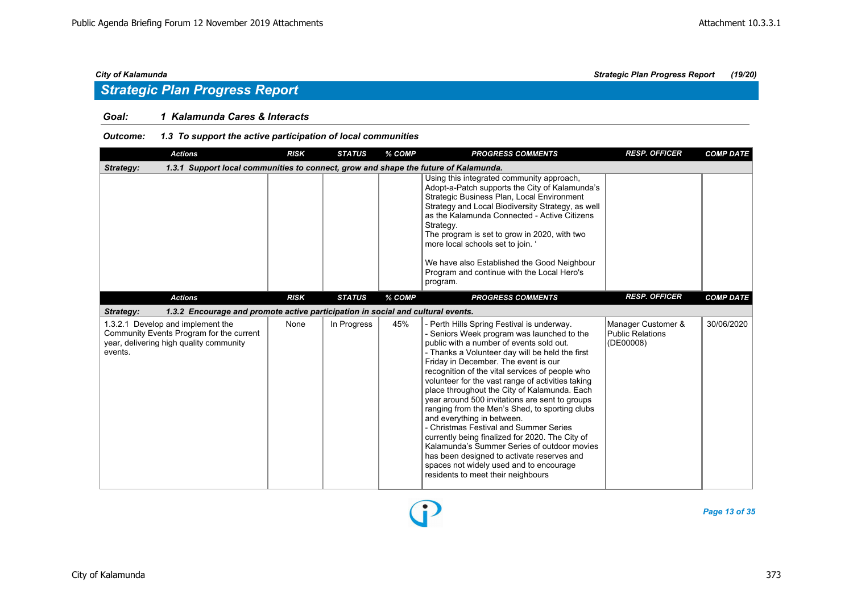### *Goal: 1 Kalamunda Cares & Interacts*

### *Outcome: 1.3 To support the active participation of local communities*

| <b>Actions</b>                                                                                                                      | <b>RISK</b> | <b>STATUS</b> | % COMP | <b>PROGRESS COMMENTS</b>                                                                                                                                                                                                                                                                                                                                                                                                                                                                                                                                                                                                                                                                                                                                                                             | <b>RESP. OFFICER</b>                                | <b>COMP DATE</b> |
|-------------------------------------------------------------------------------------------------------------------------------------|-------------|---------------|--------|------------------------------------------------------------------------------------------------------------------------------------------------------------------------------------------------------------------------------------------------------------------------------------------------------------------------------------------------------------------------------------------------------------------------------------------------------------------------------------------------------------------------------------------------------------------------------------------------------------------------------------------------------------------------------------------------------------------------------------------------------------------------------------------------------|-----------------------------------------------------|------------------|
| 1.3.1 Support local communities to connect, grow and shape the future of Kalamunda.<br>Strategy:                                    |             |               |        |                                                                                                                                                                                                                                                                                                                                                                                                                                                                                                                                                                                                                                                                                                                                                                                                      |                                                     |                  |
|                                                                                                                                     |             |               |        | Using this integrated community approach,<br>Adopt-a-Patch supports the City of Kalamunda's<br>Strategic Business Plan, Local Environment<br>Strategy and Local Biodiversity Strategy, as well<br>as the Kalamunda Connected - Active Citizens<br>Strategy.<br>The program is set to grow in 2020, with two<br>more local schools set to join.<br>We have also Established the Good Neighbour<br>Program and continue with the Local Hero's<br>program.                                                                                                                                                                                                                                                                                                                                              |                                                     |                  |
| <b>Actions</b>                                                                                                                      | <b>RISK</b> | <b>STATUS</b> | % COMP | <b>PROGRESS COMMENTS</b>                                                                                                                                                                                                                                                                                                                                                                                                                                                                                                                                                                                                                                                                                                                                                                             | <b>RESP. OFFICER</b>                                | <b>COMP DATE</b> |
| 1.3.2 Encourage and promote active participation in social and cultural events.<br>Strategy:                                        |             |               |        |                                                                                                                                                                                                                                                                                                                                                                                                                                                                                                                                                                                                                                                                                                                                                                                                      |                                                     |                  |
| 1.3.2.1 Develop and implement the<br>Community Events Program for the current<br>year, delivering high quality community<br>events. | None        | In Progress   | 45%    | - Perth Hills Spring Festival is underway.<br>- Seniors Week program was launched to the<br>public with a number of events sold out.<br>- Thanks a Volunteer day will be held the first<br>Friday in December. The event is our<br>recognition of the vital services of people who<br>volunteer for the vast range of activities taking<br>place throughout the City of Kalamunda. Each<br>year around 500 invitations are sent to groups<br>ranging from the Men's Shed, to sporting clubs<br>and everything in between.<br>- Christmas Festival and Summer Series<br>currently being finalized for 2020. The City of<br>Kalamunda's Summer Series of outdoor movies<br>has been designed to activate reserves and<br>spaces not widely used and to encourage<br>residents to meet their neighbours | Manager Customer &<br>Public Relations<br>(DE00008) | 30/06/2020       |

*Page 13 of 35*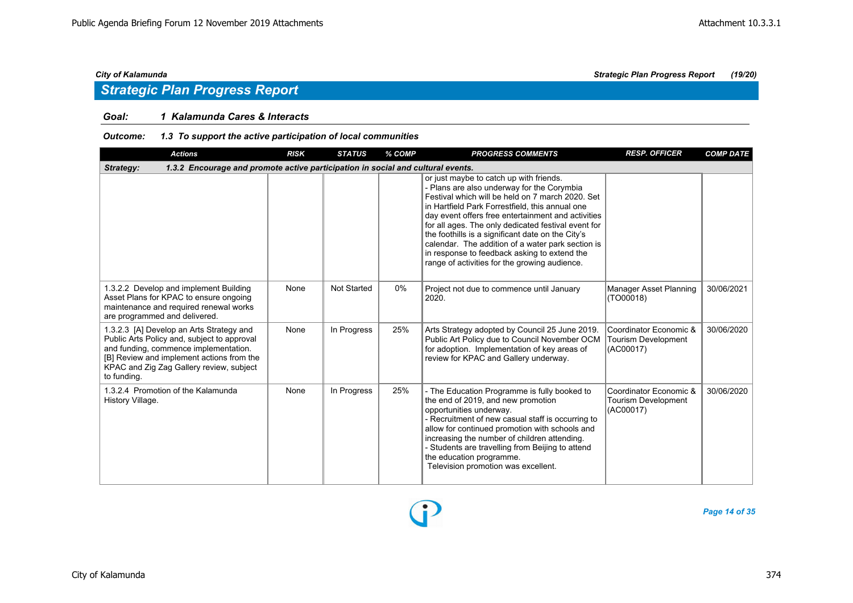### *Goal: 1 Kalamunda Cares & Interacts*

### *Outcome: 1.3 To support the active participation of local communities*

| <b>Actions</b>                                                                                                                                                                                                                           | <b>RISK</b> | <b>STATUS</b>      | % COMP | <b>PROGRESS COMMENTS</b>                                                                                                                                                                                                                                                                                                                                                                                                                                                                                             | <b>RESP. OFFICER</b>                                       | <b>COMP DATE</b> |
|------------------------------------------------------------------------------------------------------------------------------------------------------------------------------------------------------------------------------------------|-------------|--------------------|--------|----------------------------------------------------------------------------------------------------------------------------------------------------------------------------------------------------------------------------------------------------------------------------------------------------------------------------------------------------------------------------------------------------------------------------------------------------------------------------------------------------------------------|------------------------------------------------------------|------------------|
| 1.3.2 Encourage and promote active participation in social and cultural events.<br>Strategy:                                                                                                                                             |             |                    |        |                                                                                                                                                                                                                                                                                                                                                                                                                                                                                                                      |                                                            |                  |
|                                                                                                                                                                                                                                          |             |                    |        | or just maybe to catch up with friends.<br>- Plans are also underway for the Corymbia<br>Festival which will be held on 7 march 2020. Set<br>in Hartfield Park Forrestfield, this annual one<br>day event offers free entertainment and activities<br>for all ages. The only dedicated festival event for<br>the foothills is a significant date on the City's<br>calendar. The addition of a water park section is<br>in response to feedback asking to extend the<br>range of activities for the growing audience. |                                                            |                  |
| 1.3.2.2 Develop and implement Building<br>Asset Plans for KPAC to ensure ongoing<br>maintenance and required renewal works<br>are programmed and delivered.                                                                              | None        | <b>Not Started</b> | $0\%$  | Project not due to commence until January<br>2020.                                                                                                                                                                                                                                                                                                                                                                                                                                                                   | Manager Asset Planning<br>(TO00018)                        | 30/06/2021       |
| 1.3.2.3 [A] Develop an Arts Strategy and<br>Public Arts Policy and, subject to approval<br>and funding, commence implementation.<br>[B] Review and implement actions from the<br>KPAC and Zig Zag Gallery review, subject<br>to funding. | None        | In Progress        | 25%    | Arts Strategy adopted by Council 25 June 2019.<br>Public Art Policy due to Council November OCM<br>for adoption. Implementation of key areas of<br>review for KPAC and Gallery underway.                                                                                                                                                                                                                                                                                                                             | Coordinator Economic &<br>Tourism Development<br>(AC00017) | 30/06/2020       |
| 1.3.2.4 Promotion of the Kalamunda<br>History Village.                                                                                                                                                                                   | None        | In Progress        | 25%    | - The Education Programme is fully booked to<br>the end of 2019, and new promotion<br>opportunities underway.<br>- Recruitment of new casual staff is occurring to<br>allow for continued promotion with schools and<br>increasing the number of children attending.<br>- Students are travelling from Beijing to attend<br>the education programme.<br>Television promotion was excellent.                                                                                                                          | Coordinator Economic &<br>Tourism Development<br>(AC00017) | 30/06/2020       |

P

*Page 14 of 35*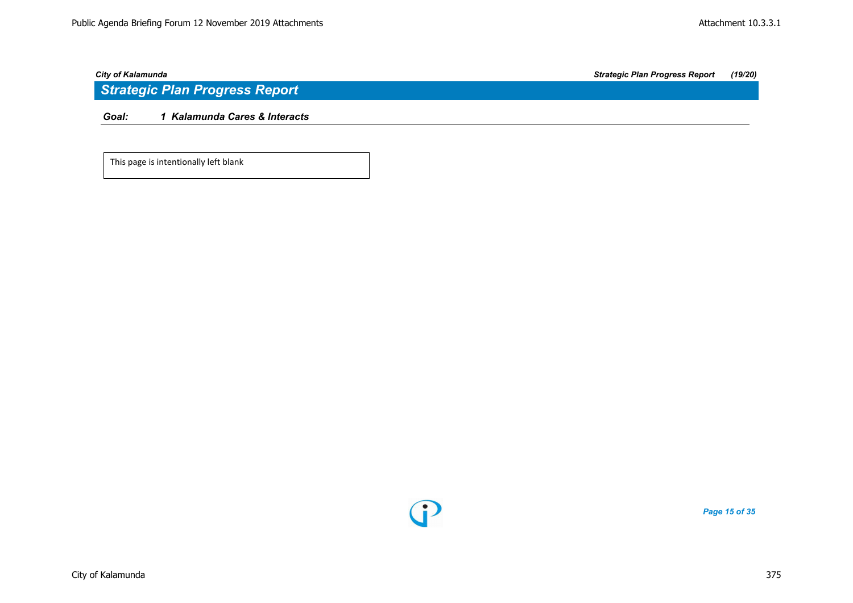*Goal: 1 Kalamunda Cares & Interacts*

This page is intentionally left blank



*Page 15 of 35*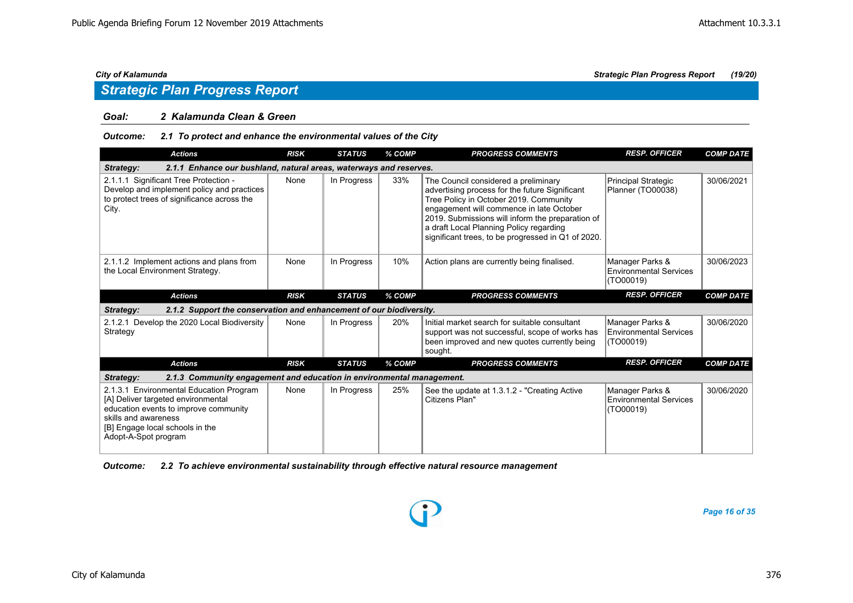### *Goal: 2 Kalamunda Clean & Green*

### *Outcome: 2.1 To protect and enhance the environmental values of the City*

| <b>Actions</b>                                                                                                                                                                                            | <b>RISK</b> | <b>STATUS</b> | % COMP | <b>PROGRESS COMMENTS</b>                                                                                                                                                                                                                                                                                                          | <b>RESP. OFFICER</b>                                          | <b>COMP DATE</b> |
|-----------------------------------------------------------------------------------------------------------------------------------------------------------------------------------------------------------|-------------|---------------|--------|-----------------------------------------------------------------------------------------------------------------------------------------------------------------------------------------------------------------------------------------------------------------------------------------------------------------------------------|---------------------------------------------------------------|------------------|
| 2.1.1 Enhance our bushland, natural areas, waterways and reserves.<br>Strategy:                                                                                                                           |             |               |        |                                                                                                                                                                                                                                                                                                                                   |                                                               |                  |
| 2.1.1.1 Significant Tree Protection -<br>Develop and implement policy and practices<br>to protect trees of significance across the<br>City.                                                               | None        | In Progress   | 33%    | The Council considered a preliminary<br>advertising process for the future Significant<br>Tree Policy in October 2019. Community<br>engagement will commence in late October<br>2019. Submissions will inform the preparation of<br>a draft Local Planning Policy regarding<br>significant trees, to be progressed in Q1 of 2020. | Principal Strategic<br>Planner (TO00038)                      | 30/06/2021       |
| 2.1.1.2 Implement actions and plans from<br>the Local Environment Strategy.                                                                                                                               | None        | In Progress   | 10%    | Action plans are currently being finalised.                                                                                                                                                                                                                                                                                       | Manager Parks &<br><b>Environmental Services</b><br>(TO00019) | 30/06/2023       |
| <b>Actions</b>                                                                                                                                                                                            | <b>RISK</b> | <b>STATUS</b> | % COMP | <b>PROGRESS COMMENTS</b>                                                                                                                                                                                                                                                                                                          | <b>RESP. OFFICER</b>                                          | <b>COMP DATE</b> |
| 2.1.2 Support the conservation and enhancement of our biodiversity.<br>Strategy:                                                                                                                          |             |               |        |                                                                                                                                                                                                                                                                                                                                   |                                                               |                  |
| 2.1.2.1 Develop the 2020 Local Biodiversity<br>Strategy                                                                                                                                                   | None        | In Progress   | 20%    | Initial market search for suitable consultant<br>support was not successful, scope of works has<br>been improved and new quotes currently being<br>sought.                                                                                                                                                                        | Manager Parks &<br><b>Environmental Services</b><br>(TO00019) | 30/06/2020       |
| <b>Actions</b>                                                                                                                                                                                            | <b>RISK</b> | <b>STATUS</b> | % COMP | <b>PROGRESS COMMENTS</b>                                                                                                                                                                                                                                                                                                          | <b>RESP. OFFICER</b>                                          | <b>COMP DATE</b> |
| 2.1.3 Community engagement and education in environmental management.<br><b>Strategy:</b>                                                                                                                 |             |               |        |                                                                                                                                                                                                                                                                                                                                   |                                                               |                  |
| 2.1.3.1 Environmental Education Program<br>[A] Deliver targeted environmental<br>education events to improve community<br>skills and awareness<br>[B] Engage local schools in the<br>Adopt-A-Spot program | None        | In Progress   | 25%    | See the update at 1.3.1.2 - "Creating Active<br>Citizens Plan"                                                                                                                                                                                                                                                                    | Manager Parks &<br>Environmental Services<br>(TO00019)        | 30/06/2020       |

*Outcome: 2.2 To achieve environmental sustainability through effective natural resource management*

*Page 16 of 35*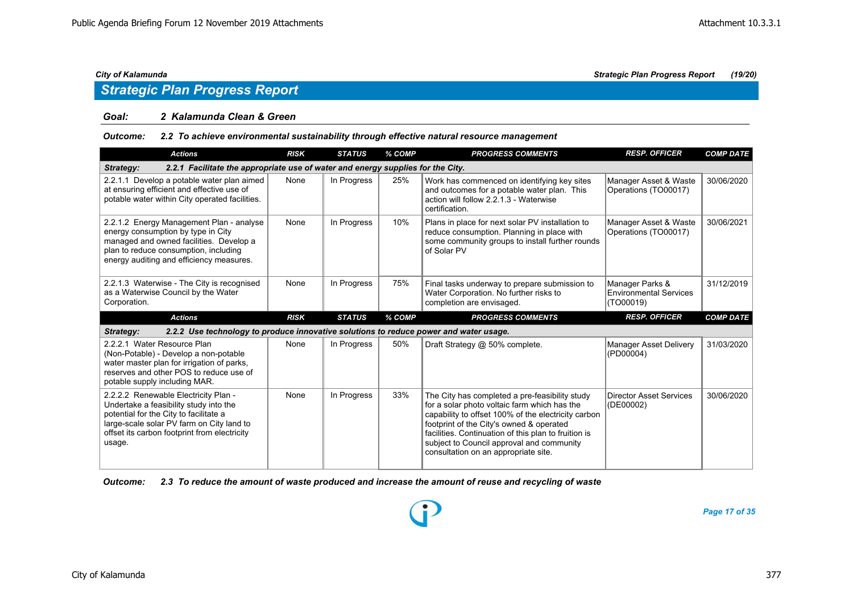### *Goal: 2 Kalamunda Clean & Green*

### *Outcome: 2.2 To achieve environmental sustainability through effective natural resource management*

| <b>Actions</b>                                                                                                                                                                                                 | <b>RISK</b> | <b>STATUS</b> | % COMP | <b>PROGRESS COMMENTS</b>                                                                                                                                         | <b>RESP. OFFICER</b>                                          | <b>COMP DATE</b> |
|----------------------------------------------------------------------------------------------------------------------------------------------------------------------------------------------------------------|-------------|---------------|--------|------------------------------------------------------------------------------------------------------------------------------------------------------------------|---------------------------------------------------------------|------------------|
| 2.2.1 Facilitate the appropriate use of water and energy supplies for the City.<br>Strategy:                                                                                                                   |             |               |        |                                                                                                                                                                  |                                                               |                  |
| 2.2.1.1 Develop a potable water plan aimed<br>at ensuring efficient and effective use of<br>potable water within City operated facilities.                                                                     | None        | In Progress   | 25%    | Work has commenced on identifying key sites<br>and outcomes for a potable water plan. This<br>action will follow 2.2.1.3 - Waterwise<br>certification.           | Manager Asset & Waste<br>Operations (TO00017)                 | 30/06/2020       |
| 2.2.1.2 Energy Management Plan - analyse<br>energy consumption by type in City<br>managed and owned facilities. Develop a<br>plan to reduce consumption, including<br>energy auditing and efficiency measures. | None        | In Progress   | 10%    | Plans in place for next solar PV installation to<br>reduce consumption. Planning in place with<br>some community groups to install further rounds<br>of Solar PV | Manager Asset & Waste<br>Operations (TO00017)                 | 30/06/2021       |
| 2.2.1.3 Waterwise - The City is recognised<br>as a Waterwise Council by the Water<br>Corporation.                                                                                                              | None        | In Progress   | 75%    | Final tasks underway to prepare submission to<br>Water Corporation. No further risks to<br>completion are envisaged.                                             | Manager Parks &<br><b>Environmental Services</b><br>(TO00019) | 31/12/2019       |
|                                                                                                                                                                                                                |             |               |        |                                                                                                                                                                  |                                                               |                  |
| <b>Actions</b>                                                                                                                                                                                                 | <b>RISK</b> | <b>STATUS</b> | % COMP | <b>PROGRESS COMMENTS</b>                                                                                                                                         | <b>RESP. OFFICER</b>                                          | <b>COMP DATE</b> |
| 2.2.2 Use technology to produce innovative solutions to reduce power and water usage.<br>Strategy:                                                                                                             |             |               |        |                                                                                                                                                                  |                                                               |                  |
| 2.2.2.1 Water Resource Plan<br>(Non-Potable) - Develop a non-potable<br>water master plan for irrigation of parks,<br>reserves and other POS to reduce use of<br>potable supply including MAR.                 | None        | In Progress   | 50%    | Draft Strategy @ 50% complete.                                                                                                                                   | Manager Asset Delivery<br>(PD00004)                           | 31/03/2020       |

*Outcome: 2.3 To reduce the amount of waste produced and increase the amount of reuse and recycling of waste*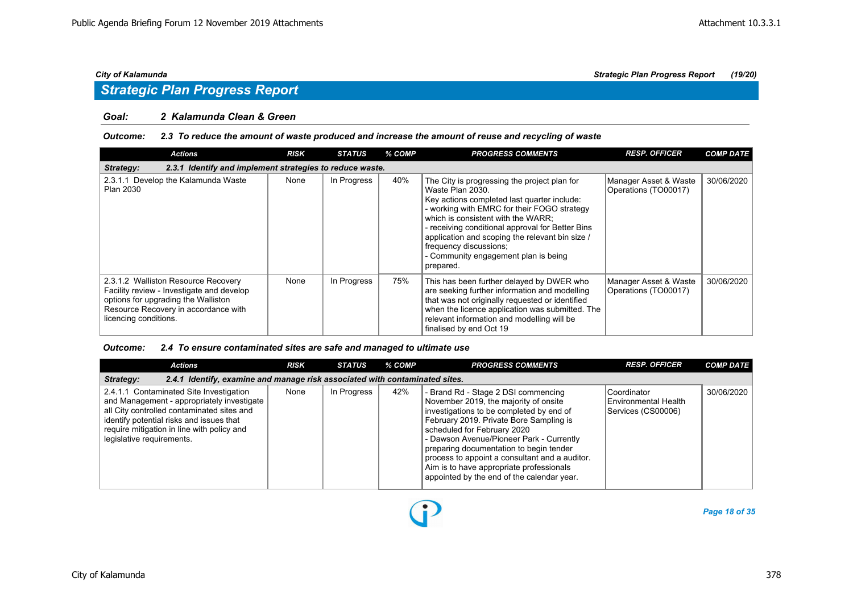### *Goal: 2 Kalamunda Clean & Green*

### *Outcome: 2.3 To reduce the amount of waste produced and increase the amount of reuse and recycling of waste*

| <b>Actions</b>                                                                                                                                                                           | <b>RISK</b> | <b>STATUS</b> | % COMP | <b>PROGRESS COMMENTS</b>                                                                                                                                                                                                                                                                                                                                                                   | <b>RESP. OFFICER</b>                          | <b>COMP DATE</b> |
|------------------------------------------------------------------------------------------------------------------------------------------------------------------------------------------|-------------|---------------|--------|--------------------------------------------------------------------------------------------------------------------------------------------------------------------------------------------------------------------------------------------------------------------------------------------------------------------------------------------------------------------------------------------|-----------------------------------------------|------------------|
| 2.3.1 Identify and implement strategies to reduce waste.<br>Strategy:                                                                                                                    |             |               |        |                                                                                                                                                                                                                                                                                                                                                                                            |                                               |                  |
| 2.3.1.1 Develop the Kalamunda Waste<br><b>Plan 2030</b>                                                                                                                                  | None        | In Progress   | 40%    | The City is progressing the project plan for<br>Waste Plan 2030.<br>Key actions completed last quarter include:<br>- working with EMRC for their FOGO strategy<br>which is consistent with the WARR:<br>- receiving conditional approval for Better Bins<br>application and scoping the relevant bin size /<br>frequency discussions;<br>- Community engagement plan is being<br>prepared. | Manager Asset & Waste<br>Operations (TO00017) | 30/06/2020       |
| 2.3.1.2 Walliston Resource Recovery<br>Facility review - Investigate and develop<br>options for upgrading the Walliston<br>Resource Recovery in accordance with<br>licencing conditions. | None        | In Progress   | 75%    | This has been further delayed by DWER who<br>are seeking further information and modelling<br>that was not originally requested or identified<br>when the licence application was submitted. The<br>relevant information and modelling will be<br>finalised by end Oct 19                                                                                                                  | Manager Asset & Waste<br>Operations (TO00017) | 30/06/2020       |

### *Outcome: 2.4 To ensure contaminated sites are safe and managed to ultimate use*

| <b>Actions</b>                                                                                                                                                                                                                                             | <b>RISK</b> | <b>STATUS</b> | % COMP | <b>PROGRESS COMMENTS</b>                                                                                                                                                                                                                                                                                                                                                                                                              | <b>RESP. OFFICER</b>                                      | <b>COMP DATE</b> |  |  |  |  |
|------------------------------------------------------------------------------------------------------------------------------------------------------------------------------------------------------------------------------------------------------------|-------------|---------------|--------|---------------------------------------------------------------------------------------------------------------------------------------------------------------------------------------------------------------------------------------------------------------------------------------------------------------------------------------------------------------------------------------------------------------------------------------|-----------------------------------------------------------|------------------|--|--|--|--|
| 2.4.1 Identify, examine and manage risk associated with contaminated sites.<br>Strategy:                                                                                                                                                                   |             |               |        |                                                                                                                                                                                                                                                                                                                                                                                                                                       |                                                           |                  |  |  |  |  |
| 2.4.1.1 Contaminated Site Investigation<br>and Management - appropriately investigate<br>all City controlled contaminated sites and<br>identify potential risks and issues that<br>require mitigation in line with policy and<br>legislative requirements. | None        | In Progress   | 42%    | - Brand Rd - Stage 2 DSI commencing<br>November 2019, the majority of onsite<br>investigations to be completed by end of<br>February 2019. Private Bore Sampling is<br>scheduled for February 2020<br>- Dawson Avenue/Pioneer Park - Currently<br>preparing documentation to begin tender<br>process to appoint a consultant and a auditor.<br>Aim is to have appropriate professionals<br>appointed by the end of the calendar year. | Coordinator<br>Environmental Health<br>Services (CS00006) | 30/06/2020       |  |  |  |  |

 $\bf{D}$ 

*Page 18 of 35*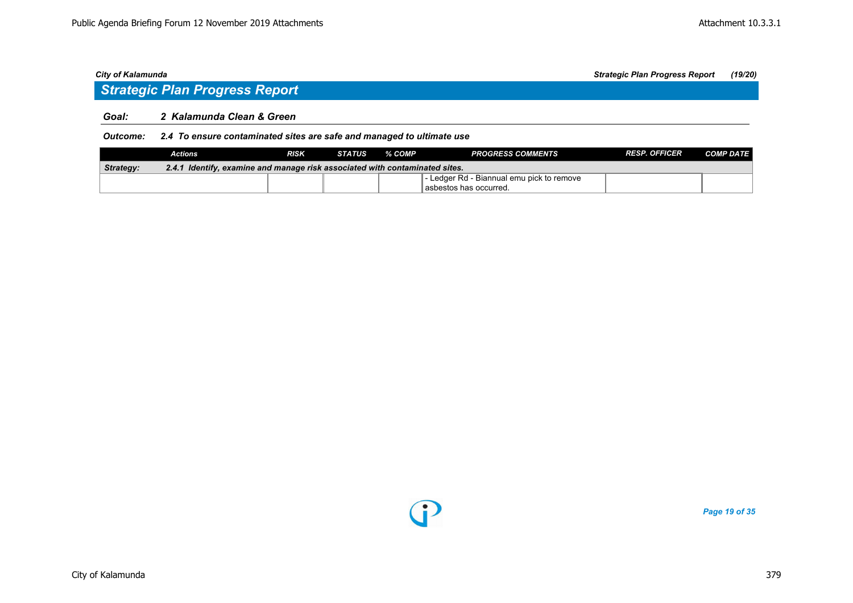## *Strategic Plan Progress Report*

### *Goal: 2 Kalamunda Clean & Green*

*Outcome: 2.4 To ensure contaminated sites are safe and managed to ultimate use*

|                  | Actions                                                                     | RISK | <b>STATUS</b> | % COMP | <b>PROGRESS COMMENTS</b>                  | <b>RESP. OFFICER</b> | <b>COMP DATE</b> |  |  |  |
|------------------|-----------------------------------------------------------------------------|------|---------------|--------|-------------------------------------------|----------------------|------------------|--|--|--|
| <b>Strategy:</b> | 2.4.1 Identify, examine and manage risk associated with contaminated sites. |      |               |        |                                           |                      |                  |  |  |  |
|                  |                                                                             |      |               |        | - Ledger Rd - Biannual emu pick to remove |                      |                  |  |  |  |
|                  |                                                                             |      |               |        | l asbestos has occurred.                  |                      |                  |  |  |  |



*Page 19 of 35*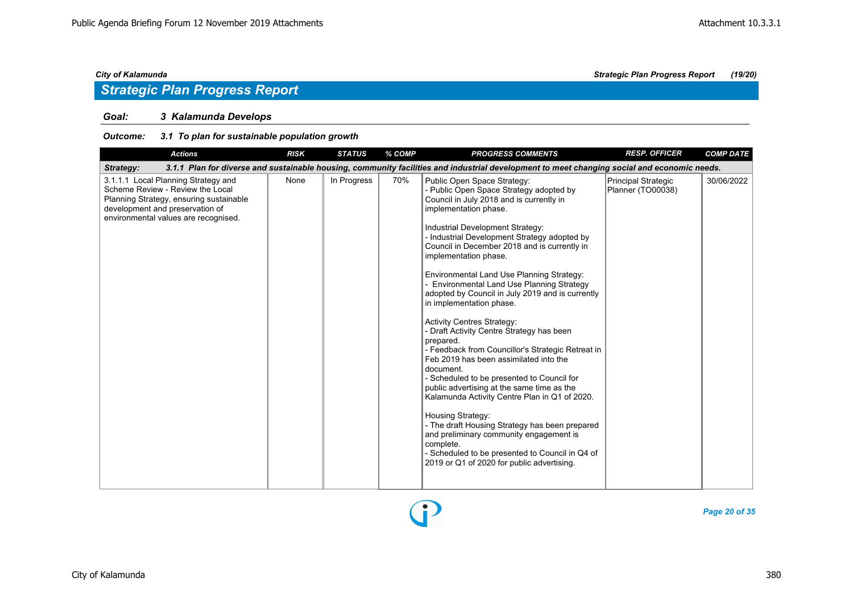### *Goal: 3 Kalamunda Develops*

### *Outcome: 3.1 To plan for sustainable population growth*

| <b>Actions</b>                                                                                                                                                                                | <b>RISK</b> | <b>STATUS</b> | % COMP | <b>PROGRESS COMMENTS</b>                                                                                                                                                                                                                                                                                                                                                                                                                                                                                                                                                                                                                                                                                                                                                                                                                                                                                                                                                                                                                                                  | <b>RESP. OFFICER</b>                     | <b>COMP DATE</b> |
|-----------------------------------------------------------------------------------------------------------------------------------------------------------------------------------------------|-------------|---------------|--------|---------------------------------------------------------------------------------------------------------------------------------------------------------------------------------------------------------------------------------------------------------------------------------------------------------------------------------------------------------------------------------------------------------------------------------------------------------------------------------------------------------------------------------------------------------------------------------------------------------------------------------------------------------------------------------------------------------------------------------------------------------------------------------------------------------------------------------------------------------------------------------------------------------------------------------------------------------------------------------------------------------------------------------------------------------------------------|------------------------------------------|------------------|
| Strategy:                                                                                                                                                                                     |             |               |        | 3.1.1 Plan for diverse and sustainable housing, community facilities and industrial development to meet changing social and economic needs.                                                                                                                                                                                                                                                                                                                                                                                                                                                                                                                                                                                                                                                                                                                                                                                                                                                                                                                               |                                          |                  |
| 3.1.1.1 Local Planning Strategy and<br>Scheme Review - Review the Local<br>Planning Strategy, ensuring sustainable<br>development and preservation of<br>environmental values are recognised. | None        | In Progress   | 70%    | Public Open Space Strategy:<br>- Public Open Space Strategy adopted by<br>Council in July 2018 and is currently in<br>implementation phase.<br>Industrial Development Strategy:<br>- Industrial Development Strategy adopted by<br>Council in December 2018 and is currently in<br>implementation phase.<br>Environmental Land Use Planning Strategy:<br>Environmental Land Use Planning Strategy<br>adopted by Council in July 2019 and is currently<br>in implementation phase.<br><b>Activity Centres Strategy:</b><br>- Draft Activity Centre Strategy has been<br>prepared.<br>- Feedback from Councillor's Strategic Retreat in<br>Feb 2019 has been assimilated into the<br>document.<br>- Scheduled to be presented to Council for<br>public advertising at the same time as the<br>Kalamunda Activity Centre Plan in Q1 of 2020.<br>Housing Strategy:<br>- The draft Housing Strategy has been prepared<br>and preliminary community engagement is<br>complete.<br>- Scheduled to be presented to Council in Q4 of<br>2019 or Q1 of 2020 for public advertising. | Principal Strategic<br>Planner (TO00038) | 30/06/2022       |



*Page 20 of 35*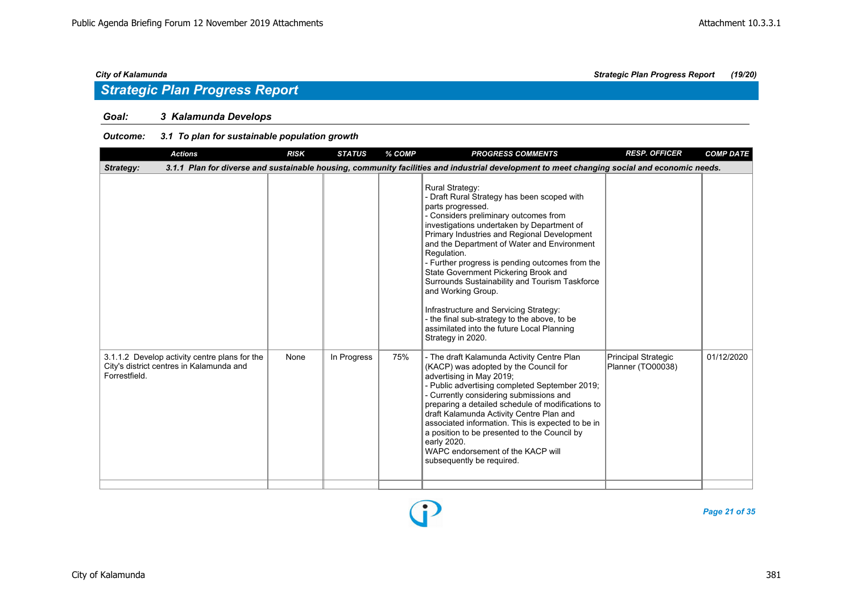### *Goal: 3 Kalamunda Develops*

### *Outcome: 3.1 To plan for sustainable population growth*

| <b>Actions</b>                                                                                             | <b>RISK</b> | <b>STATUS</b> | % COMP | <b>PROGRESS COMMENTS</b>                                                                                                                                                                                                                                                                                                                                                                                                                                                                                                                                                                                                       | <b>RESP. OFFICER</b>                     | <b>COMP DATE</b> |
|------------------------------------------------------------------------------------------------------------|-------------|---------------|--------|--------------------------------------------------------------------------------------------------------------------------------------------------------------------------------------------------------------------------------------------------------------------------------------------------------------------------------------------------------------------------------------------------------------------------------------------------------------------------------------------------------------------------------------------------------------------------------------------------------------------------------|------------------------------------------|------------------|
| Strategy:                                                                                                  |             |               |        | 3.1.1 Plan for diverse and sustainable housing, community facilities and industrial development to meet changing social and economic needs.                                                                                                                                                                                                                                                                                                                                                                                                                                                                                    |                                          |                  |
|                                                                                                            |             |               |        | <b>Rural Strategy:</b><br>- Draft Rural Strategy has been scoped with<br>parts progressed.<br>- Considers preliminary outcomes from<br>investigations undertaken by Department of<br>Primary Industries and Regional Development<br>and the Department of Water and Environment<br>Regulation.<br>- Further progress is pending outcomes from the<br>State Government Pickering Brook and<br>Surrounds Sustainability and Tourism Taskforce<br>and Working Group.<br>Infrastructure and Servicing Strategy:<br>- the final sub-strategy to the above, to be<br>assimilated into the future Local Planning<br>Strategy in 2020. |                                          |                  |
| 3.1.1.2 Develop activity centre plans for the<br>City's district centres in Kalamunda and<br>Forrestfield. | None        | In Progress   | 75%    | - The draft Kalamunda Activity Centre Plan<br>(KACP) was adopted by the Council for<br>advertising in May 2019;<br>- Public advertising completed September 2019;<br>- Currently considering submissions and<br>preparing a detailed schedule of modifications to<br>draft Kalamunda Activity Centre Plan and<br>associated information. This is expected to be in<br>a position to be presented to the Council by<br>early 2020.<br>WAPC endorsement of the KACP will<br>subsequently be required.                                                                                                                            | Principal Strategic<br>Planner (TO00038) | 01/12/2020       |

 $\mathbf{r}$ 

*Page 21 of 35*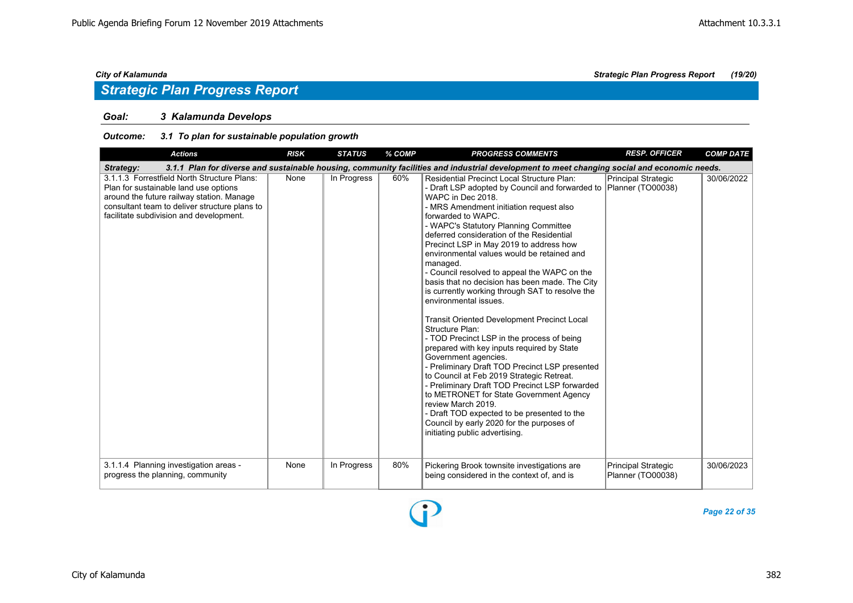### *Goal: 3 Kalamunda Develops*

### *Outcome: 3.1 To plan for sustainable population growth*

| <b>Actions</b>                                                                                                                                                                                                                | <b>RISK</b> | <b>STATUS</b> | % COMP | <b>PROGRESS COMMENTS</b>                                                                                                                                                                                                                                                                                                                                                                                                                                                                                                                                                                                                                                                                                                                                                                                                                                                                                                                                                                                                                                                                                                           | <b>RESP. OFFICER</b>                            | <b>COMP DATE</b> |
|-------------------------------------------------------------------------------------------------------------------------------------------------------------------------------------------------------------------------------|-------------|---------------|--------|------------------------------------------------------------------------------------------------------------------------------------------------------------------------------------------------------------------------------------------------------------------------------------------------------------------------------------------------------------------------------------------------------------------------------------------------------------------------------------------------------------------------------------------------------------------------------------------------------------------------------------------------------------------------------------------------------------------------------------------------------------------------------------------------------------------------------------------------------------------------------------------------------------------------------------------------------------------------------------------------------------------------------------------------------------------------------------------------------------------------------------|-------------------------------------------------|------------------|
| Strategy:                                                                                                                                                                                                                     |             |               |        | 3.1.1 Plan for diverse and sustainable housing, community facilities and industrial development to meet changing social and economic needs.                                                                                                                                                                                                                                                                                                                                                                                                                                                                                                                                                                                                                                                                                                                                                                                                                                                                                                                                                                                        |                                                 |                  |
| 3.1.1.3 Forrestfield North Structure Plans:<br>Plan for sustainable land use options<br>around the future railway station. Manage<br>consultant team to deliver structure plans to<br>facilitate subdivision and development. | None        | In Progress   | 60%    | <b>Residential Precinct Local Structure Plan:</b><br>- Draft LSP adopted by Council and forwarded to Planner (TO00038)<br>WAPC in Dec 2018.<br>- MRS Amendment initiation request also<br>forwarded to WAPC.<br>- WAPC's Statutory Planning Committee<br>deferred consideration of the Residential<br>Precinct LSP in May 2019 to address how<br>environmental values would be retained and<br>managed.<br>- Council resolved to appeal the WAPC on the<br>basis that no decision has been made. The City<br>is currently working through SAT to resolve the<br>environmental issues.<br><b>Transit Oriented Development Precinct Local</b><br>Structure Plan:<br>- TOD Precinct LSP in the process of being<br>prepared with key inputs required by State<br>Government agencies.<br>- Preliminary Draft TOD Precinct LSP presented<br>to Council at Feb 2019 Strategic Retreat.<br>- Preliminary Draft TOD Precinct LSP forwarded<br>to METRONET for State Government Agency<br>review March 2019.<br>- Draft TOD expected to be presented to the<br>Council by early 2020 for the purposes of<br>initiating public advertising. | Principal Strategic                             | 30/06/2022       |
| 3.1.1.4 Planning investigation areas -<br>progress the planning, community                                                                                                                                                    | None        | In Progress   | 80%    | Pickering Brook townsite investigations are<br>being considered in the context of, and is                                                                                                                                                                                                                                                                                                                                                                                                                                                                                                                                                                                                                                                                                                                                                                                                                                                                                                                                                                                                                                          | <b>Principal Strategic</b><br>Planner (TO00038) | 30/06/2023       |

Đ

*Page 22 of 35*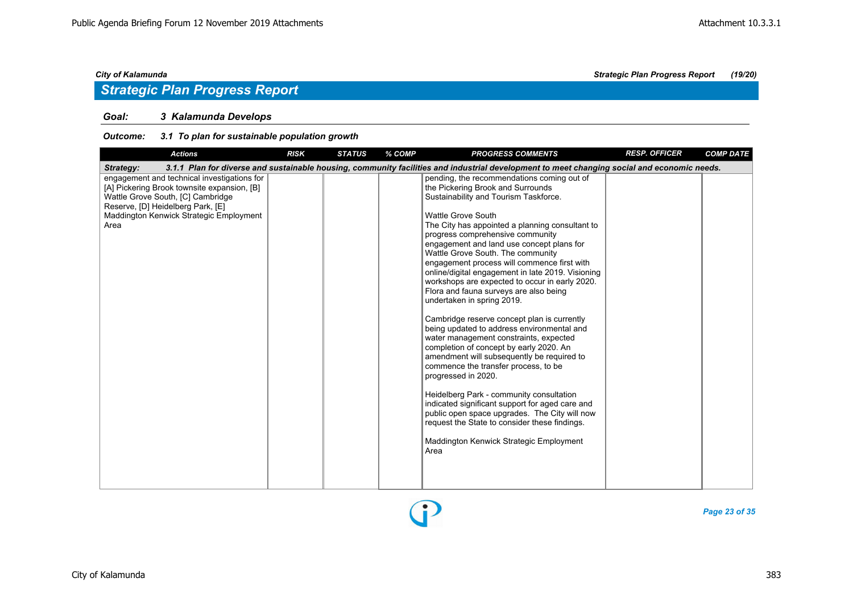### *Goal: 3 Kalamunda Develops*

### *Outcome: 3.1 To plan for sustainable population growth*

| <b>Actions</b>                                                                                                                                                                                                          | <b>RISK</b> | <b>STATUS</b> | % COMP | <b>PROGRESS COMMENTS</b>                                                                                                                                                                                                                                                                                                                                                                                                                                                                                                                                                                                                                                                                                                                                                                                                                                                                                                                                                                                                                                                                                        | <b>RESP. OFFICER</b> | <b>COMP DATE</b> |
|-------------------------------------------------------------------------------------------------------------------------------------------------------------------------------------------------------------------------|-------------|---------------|--------|-----------------------------------------------------------------------------------------------------------------------------------------------------------------------------------------------------------------------------------------------------------------------------------------------------------------------------------------------------------------------------------------------------------------------------------------------------------------------------------------------------------------------------------------------------------------------------------------------------------------------------------------------------------------------------------------------------------------------------------------------------------------------------------------------------------------------------------------------------------------------------------------------------------------------------------------------------------------------------------------------------------------------------------------------------------------------------------------------------------------|----------------------|------------------|
| Strategy:                                                                                                                                                                                                               |             |               |        | 3.1.1 Plan for diverse and sustainable housing, community facilities and industrial development to meet changing social and economic needs.                                                                                                                                                                                                                                                                                                                                                                                                                                                                                                                                                                                                                                                                                                                                                                                                                                                                                                                                                                     |                      |                  |
| engagement and technical investigations for<br>[A] Pickering Brook townsite expansion, [B]<br>Wattle Grove South, [C] Cambridge<br>Reserve, [D] Heidelberg Park, [E]<br>Maddington Kenwick Strategic Employment<br>Area |             |               |        | pending, the recommendations coming out of<br>the Pickering Brook and Surrounds<br>Sustainability and Tourism Taskforce.<br><b>Wattle Grove South</b><br>The City has appointed a planning consultant to<br>progress comprehensive community<br>engagement and land use concept plans for<br>Wattle Grove South. The community<br>engagement process will commence first with<br>online/digital engagement in late 2019. Visioning<br>workshops are expected to occur in early 2020.<br>Flora and fauna surveys are also being<br>undertaken in spring 2019.<br>Cambridge reserve concept plan is currently<br>being updated to address environmental and<br>water management constraints, expected<br>completion of concept by early 2020. An<br>amendment will subsequently be required to<br>commence the transfer process, to be<br>progressed in 2020.<br>Heidelberg Park - community consultation<br>indicated significant support for aged care and<br>public open space upgrades. The City will now<br>request the State to consider these findings.<br>Maddington Kenwick Strategic Employment<br>Area |                      |                  |

*Page 23 of 35*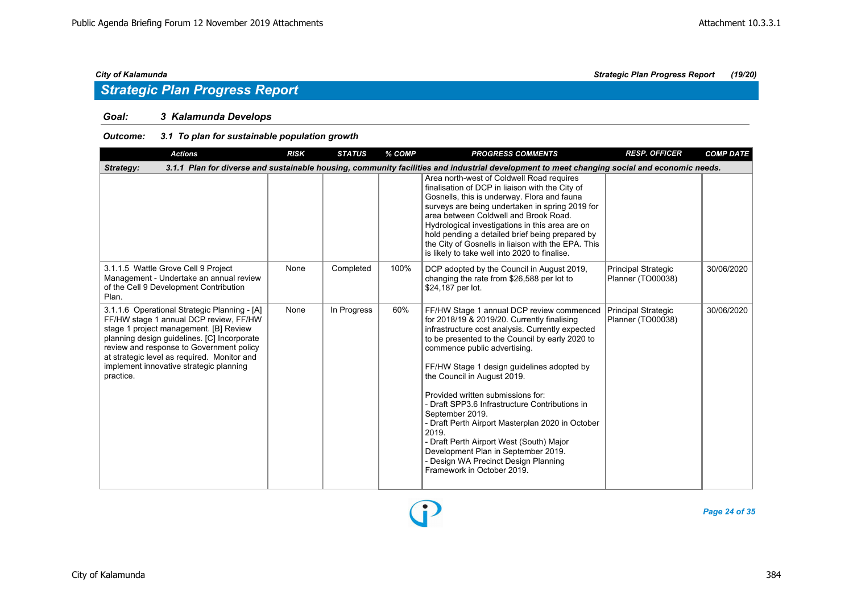### *Goal: 3 Kalamunda Develops*

### *Outcome: 3.1 To plan for sustainable population growth*

| <b>Actions</b>                                                                                                                                                                                                                                                                                                                     | <b>RISK</b> | <b>STATUS</b> | $%$ COMP | <b>PROGRESS COMMENTS</b>                                                                                                                                                                                                                                                                                                                                                                                                                                                                                                                                                                                                                     | <b>RESP. OFFICER</b>                     | <b>COMP DATE</b> |
|------------------------------------------------------------------------------------------------------------------------------------------------------------------------------------------------------------------------------------------------------------------------------------------------------------------------------------|-------------|---------------|----------|----------------------------------------------------------------------------------------------------------------------------------------------------------------------------------------------------------------------------------------------------------------------------------------------------------------------------------------------------------------------------------------------------------------------------------------------------------------------------------------------------------------------------------------------------------------------------------------------------------------------------------------------|------------------------------------------|------------------|
| Strategy:                                                                                                                                                                                                                                                                                                                          |             |               |          | 3.1.1 Plan for diverse and sustainable housing, community facilities and industrial development to meet changing social and economic needs.                                                                                                                                                                                                                                                                                                                                                                                                                                                                                                  |                                          |                  |
|                                                                                                                                                                                                                                                                                                                                    |             |               |          | Area north-west of Coldwell Road requires<br>finalisation of DCP in liaison with the City of<br>Gosnells, this is underway. Flora and fauna<br>surveys are being undertaken in spring 2019 for<br>area between Coldwell and Brook Road.<br>Hydrological investigations in this area are on<br>hold pending a detailed brief being prepared by<br>the City of Gosnells in liaison with the EPA. This<br>is likely to take well into 2020 to finalise.                                                                                                                                                                                         |                                          |                  |
| 3.1.1.5 Wattle Grove Cell 9 Project<br>Management - Undertake an annual review<br>of the Cell 9 Development Contribution<br>Plan.                                                                                                                                                                                                  | None        | Completed     | 100%     | DCP adopted by the Council in August 2019,<br>changing the rate from \$26,588 per lot to<br>\$24,187 per lot.                                                                                                                                                                                                                                                                                                                                                                                                                                                                                                                                | Principal Strategic<br>Planner (TO00038) | 30/06/2020       |
| 3.1.1.6 Operational Strategic Planning - [A]<br>FF/HW stage 1 annual DCP review, FF/HW<br>stage 1 project management. [B] Review<br>planning design guidelines. [C] Incorporate<br>review and response to Government policy<br>at strategic level as required. Monitor and<br>implement innovative strategic planning<br>practice. | None        | In Progress   | 60%      | FF/HW Stage 1 annual DCP review commenced<br>for 2018/19 & 2019/20. Currently finalising<br>infrastructure cost analysis. Currently expected<br>to be presented to the Council by early 2020 to<br>commence public advertising.<br>FF/HW Stage 1 design guidelines adopted by<br>the Council in August 2019.<br>Provided written submissions for:<br>- Draft SPP3.6 Infrastructure Contributions in<br>September 2019.<br>- Draft Perth Airport Masterplan 2020 in October<br>2019.<br>- Draft Perth Airport West (South) Major<br>Development Plan in September 2019.<br>- Design WA Precinct Design Planning<br>Framework in October 2019. | Principal Strategic<br>Planner (TO00038) | 30/06/2020       |

*Page 24 of 35*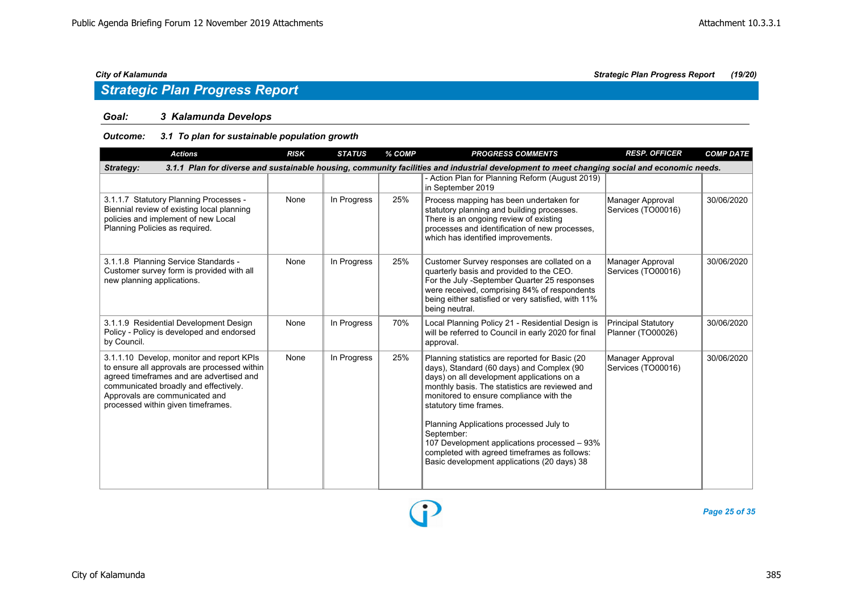## *Strategic Plan Progress Report*

### *Goal: 3 Kalamunda Develops*

### *Outcome: 3.1 To plan for sustainable population growth*

| <b>Actions</b>                                                                                                                                                                                                                                         | <b>RISK</b> | <b>STATUS</b> | % COMP | <b>PROGRESS COMMENTS</b>                                                                                                                                                                                                                                                                                                                                                                                                                                                 | <b>RESP. OFFICER</b>                            | <b>COMP DATE</b> |
|--------------------------------------------------------------------------------------------------------------------------------------------------------------------------------------------------------------------------------------------------------|-------------|---------------|--------|--------------------------------------------------------------------------------------------------------------------------------------------------------------------------------------------------------------------------------------------------------------------------------------------------------------------------------------------------------------------------------------------------------------------------------------------------------------------------|-------------------------------------------------|------------------|
| Strategy:                                                                                                                                                                                                                                              |             |               |        | 3.1.1 Plan for diverse and sustainable housing, community facilities and industrial development to meet changing social and economic needs.                                                                                                                                                                                                                                                                                                                              |                                                 |                  |
|                                                                                                                                                                                                                                                        |             |               |        | - Action Plan for Planning Reform (August 2019)<br>in September 2019                                                                                                                                                                                                                                                                                                                                                                                                     |                                                 |                  |
| 3.1.1.7 Statutory Planning Processes -<br>Biennial review of existing local planning<br>policies and implement of new Local<br>Planning Policies as required.                                                                                          | None        | In Progress   | 25%    | Process mapping has been undertaken for<br>statutory planning and building processes.<br>There is an ongoing review of existing<br>processes and identification of new processes,<br>which has identified improvements.                                                                                                                                                                                                                                                  | Manager Approval<br>Services (TO00016)          | 30/06/2020       |
| 3.1.1.8 Planning Service Standards -<br>Customer survey form is provided with all<br>new planning applications.                                                                                                                                        | None        | In Progress   | 25%    | Customer Survey responses are collated on a<br>quarterly basis and provided to the CEO.<br>For the July -September Quarter 25 responses<br>were received, comprising 84% of respondents<br>being either satisfied or very satisfied, with 11%<br>being neutral.                                                                                                                                                                                                          | Manager Approval<br>Services (TO00016)          | 30/06/2020       |
| 3.1.1.9 Residential Development Design<br>Policy - Policy is developed and endorsed<br>by Council.                                                                                                                                                     | None        | In Progress   | 70%    | Local Planning Policy 21 - Residential Design is<br>will be referred to Council in early 2020 for final<br>approval.                                                                                                                                                                                                                                                                                                                                                     | <b>Principal Statutory</b><br>Planner (TO00026) | 30/06/2020       |
| 3.1.1.10 Develop, monitor and report KPIs<br>to ensure all approvals are processed within<br>agreed timeframes and are advertised and<br>communicated broadly and effectively.<br>Approvals are communicated and<br>processed within given timeframes. | None        | In Progress   | 25%    | Planning statistics are reported for Basic (20<br>days), Standard (60 days) and Complex (90<br>days) on all development applications on a<br>monthly basis. The statistics are reviewed and<br>monitored to ensure compliance with the<br>statutory time frames.<br>Planning Applications processed July to<br>September:<br>107 Development applications processed - 93%<br>completed with agreed timeframes as follows:<br>Basic development applications (20 days) 38 | Manager Approval<br>Services (TO00016)          | 30/06/2020       |

*Page 25 of 35*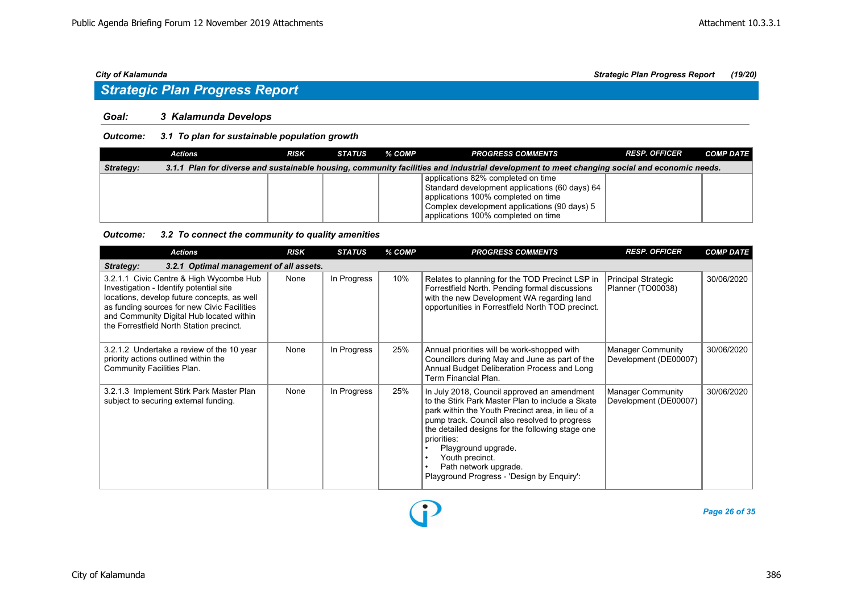## *Strategic Plan Progress Report*

### *Goal: 3 Kalamunda Develops*

### *Outcome: 3.1 To plan for sustainable population growth*

|           | Actions | <b>RISK</b> | STATUS | % COMP | <b>PROGRESS COMMENTS</b>                                                                                                                                                                                           | <b>RESP. OFFICER</b> | <b>COMP DATE</b> |
|-----------|---------|-------------|--------|--------|--------------------------------------------------------------------------------------------------------------------------------------------------------------------------------------------------------------------|----------------------|------------------|
| Strategy: |         |             |        |        | 3.1.1 Plan for diverse and sustainable housing, community facilities and industrial development to meet changing social and economic needs.                                                                        |                      |                  |
|           |         |             |        |        | applications 82% completed on time<br>Standard development applications (60 days) 64<br>applications 100% completed on time<br>Complex development applications (90 days) 5<br>applications 100% completed on time |                      |                  |

### *Outcome: 3.2 To connect the community to quality amenities*

| <b>Actions</b>                                                                                                                                                                                                                                                           | <b>RISK</b> | <b>STATUS</b> | % COMP | <b>PROGRESS COMMENTS</b>                                                                                                                                                                                                                                                                                                                                                                               | <b>RESP. OFFICER</b>                              | <b>COMP DATE</b> |  |  |  |  |
|--------------------------------------------------------------------------------------------------------------------------------------------------------------------------------------------------------------------------------------------------------------------------|-------------|---------------|--------|--------------------------------------------------------------------------------------------------------------------------------------------------------------------------------------------------------------------------------------------------------------------------------------------------------------------------------------------------------------------------------------------------------|---------------------------------------------------|------------------|--|--|--|--|
| 3.2.1 Optimal management of all assets.<br>Strategy:                                                                                                                                                                                                                     |             |               |        |                                                                                                                                                                                                                                                                                                                                                                                                        |                                                   |                  |  |  |  |  |
| 3.2.1.1 Civic Centre & High Wycombe Hub<br>Investigation - Identify potential site<br>locations, develop future concepts, as well<br>as funding sources for new Civic Facilities<br>and Community Digital Hub located within<br>the Forrestfield North Station precinct. | None        | In Progress   | 10%    | Relates to planning for the TOD Precinct LSP in<br>Forrestfield North. Pending formal discussions<br>with the new Development WA regarding land<br>opportunities in Forrestfield North TOD precinct.                                                                                                                                                                                                   | Principal Strategic<br>Planner (TO00038)          | 30/06/2020       |  |  |  |  |
| 3.2.1.2 Undertake a review of the 10 year<br>priority actions outlined within the<br>Community Facilities Plan.                                                                                                                                                          | None        | In Progress   | 25%    | Annual priorities will be work-shopped with<br>Councillors during May and June as part of the<br>Annual Budget Deliberation Process and Long<br>Term Financial Plan.                                                                                                                                                                                                                                   | <b>Manager Community</b><br>Development (DE00007) | 30/06/2020       |  |  |  |  |
| 3.2.1.3 Implement Stirk Park Master Plan<br>subject to securing external funding.                                                                                                                                                                                        | None        | In Progress   | 25%    | In July 2018, Council approved an amendment<br>to the Stirk Park Master Plan to include a Skate<br>park within the Youth Precinct area, in lieu of a<br>pump track. Council also resolved to progress<br>the detailed designs for the following stage one<br>priorities:<br>Playground upgrade.<br>Youth precinct.<br>Path network upgrade.<br>$\bullet$<br>Playground Progress - 'Design by Enquiry': | <b>Manager Community</b><br>Development (DE00007) | 30/06/2020       |  |  |  |  |

Đ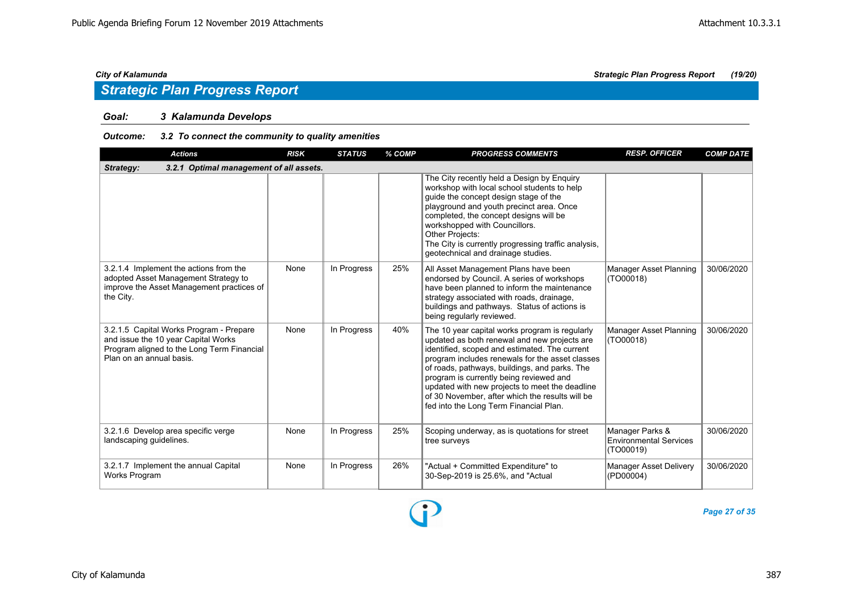## *Strategic Plan Progress Report*

### *Goal: 3 Kalamunda Develops*

### *Outcome: 3.2 To connect the community to quality amenities*

| <b>Actions</b>                                                                                                                                           | <b>RISK</b> | <b>STATUS</b> | % COMP | <b>PROGRESS COMMENTS</b>                                                                                                                                                                                                                                                                                                                                                                                                                      | <b>RESP. OFFICER</b>                                          | <b>COMP DATE</b> |  |  |  |  |
|----------------------------------------------------------------------------------------------------------------------------------------------------------|-------------|---------------|--------|-----------------------------------------------------------------------------------------------------------------------------------------------------------------------------------------------------------------------------------------------------------------------------------------------------------------------------------------------------------------------------------------------------------------------------------------------|---------------------------------------------------------------|------------------|--|--|--|--|
| 3.2.1 Optimal management of all assets.<br>Strategy:                                                                                                     |             |               |        |                                                                                                                                                                                                                                                                                                                                                                                                                                               |                                                               |                  |  |  |  |  |
|                                                                                                                                                          |             |               |        | The City recently held a Design by Enquiry<br>workshop with local school students to help<br>guide the concept design stage of the<br>playground and youth precinct area. Once<br>completed, the concept designs will be<br>workshopped with Councillors.<br>Other Projects:<br>The City is currently progressing traffic analysis,<br>geotechnical and drainage studies.                                                                     |                                                               |                  |  |  |  |  |
| 3.2.1.4 Implement the actions from the<br>adopted Asset Management Strategy to<br>improve the Asset Management practices of<br>the City.                 | None        | In Progress   | 25%    | All Asset Management Plans have been<br>endorsed by Council. A series of workshops<br>have been planned to inform the maintenance<br>strategy associated with roads, drainage,<br>buildings and pathways. Status of actions is<br>being regularly reviewed.                                                                                                                                                                                   | Manager Asset Planning<br>(TO00018)                           | 30/06/2020       |  |  |  |  |
| 3.2.1.5 Capital Works Program - Prepare<br>and issue the 10 year Capital Works<br>Program aligned to the Long Term Financial<br>Plan on an annual basis. | None        | In Progress   | 40%    | The 10 year capital works program is regularly<br>updated as both renewal and new projects are<br>identified, scoped and estimated. The current<br>program includes renewals for the asset classes<br>of roads, pathways, buildings, and parks. The<br>program is currently being reviewed and<br>updated with new projects to meet the deadline<br>of 30 November, after which the results will be<br>fed into the Long Term Financial Plan. | Manager Asset Planning<br>(TO00018)                           | 30/06/2020       |  |  |  |  |
| 3.2.1.6 Develop area specific verge<br>landscaping guidelines.                                                                                           | None        | In Progress   | 25%    | Scoping underway, as is quotations for street<br>tree surveys                                                                                                                                                                                                                                                                                                                                                                                 | Manager Parks &<br><b>Environmental Services</b><br>(TO00019) | 30/06/2020       |  |  |  |  |
| 3.2.1.7 Implement the annual Capital<br>Works Program                                                                                                    | None        | In Progress   | 26%    | "Actual + Committed Expenditure" to<br>30-Sep-2019 is 25.6%, and "Actual                                                                                                                                                                                                                                                                                                                                                                      | Manager Asset Delivery<br>(PD00004)                           | 30/06/2020       |  |  |  |  |

D

*Page 27 of 35*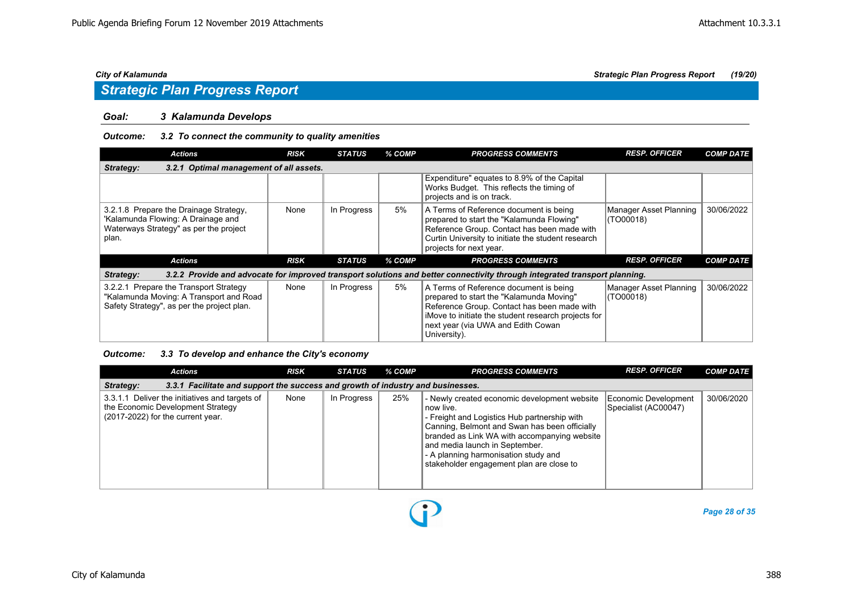## *Strategic Plan Progress Report*

### *Goal: 3 Kalamunda Develops*

### *Outcome: 3.2 To connect the community to quality amenities*

| Actions                                                                                                                         | <b>RISK</b> | <b>STATUS</b> | % COMP | <b>PROGRESS COMMENTS</b>                                                                                                                                                                                                                       | <b>RESP. OFFICER</b>                | <b>COMP DATE</b> |  |  |  |  |
|---------------------------------------------------------------------------------------------------------------------------------|-------------|---------------|--------|------------------------------------------------------------------------------------------------------------------------------------------------------------------------------------------------------------------------------------------------|-------------------------------------|------------------|--|--|--|--|
| Strategy:<br>3.2.1 Optimal management of all assets.                                                                            |             |               |        |                                                                                                                                                                                                                                                |                                     |                  |  |  |  |  |
|                                                                                                                                 |             |               |        | Expenditure" equates to 8.9% of the Capital<br>Works Budget. This reflects the timing of<br>projects and is on track.                                                                                                                          |                                     |                  |  |  |  |  |
| 3.2.1.8 Prepare the Drainage Strategy,<br>'Kalamunda Flowing: A Drainage and<br>Waterways Strategy" as per the project<br>plan. | None        | In Progress   | 5%     | A Terms of Reference document is being<br>prepared to start the "Kalamunda Flowing"<br>Reference Group. Contact has been made with<br>Curtin University to initiate the student research<br>projects for next year.                            | Manager Asset Planning<br>(TO00018) | 30/06/2022       |  |  |  |  |
| Actions                                                                                                                         | <b>RISK</b> | <b>STATUS</b> | % COMP | <b>PROGRESS COMMENTS</b>                                                                                                                                                                                                                       | <b>RESP. OFFICER</b>                | <b>COMP DATE</b> |  |  |  |  |
| Strategy:                                                                                                                       |             |               |        | 3.2.2 Provide and advocate for improved transport solutions and better connectivity through integrated transport planning.                                                                                                                     |                                     |                  |  |  |  |  |
| 3.2.2.1 Prepare the Transport Strategy<br>"Kalamunda Moving: A Transport and Road<br>Safety Strategy", as per the project plan. | None        | In Progress   | 5%     | A Terms of Reference document is being<br>prepared to start the "Kalamunda Moving"<br>Reference Group. Contact has been made with<br>iMove to initiate the student research projects for<br>next year (via UWA and Edith Cowan<br>University). | Manager Asset Planning<br>(TO00018) | 30/06/2022       |  |  |  |  |

### *Outcome: 3.3 To develop and enhance the City's economy*

| <b>Actions</b>                                                                                                           | <b>RISK</b> | <b>STATUS</b> | % COMP | <b>PROGRESS COMMENTS</b>                                                                                                                                                                                                                                                                                                           | <b>RESP. OFFICER</b>                         | <b>COMP DATE</b> |  |  |  |  |
|--------------------------------------------------------------------------------------------------------------------------|-------------|---------------|--------|------------------------------------------------------------------------------------------------------------------------------------------------------------------------------------------------------------------------------------------------------------------------------------------------------------------------------------|----------------------------------------------|------------------|--|--|--|--|
| 3.3.1 Facilitate and support the success and growth of industry and businesses.<br>Strategy:                             |             |               |        |                                                                                                                                                                                                                                                                                                                                    |                                              |                  |  |  |  |  |
| 3.3.1.1 Deliver the initiatives and targets of<br>the Economic Development Strategy<br>(2017-2022) for the current year. | None        | In Progress   | 25%    | - Newly created economic development website<br>∣ now live.<br>- Freight and Logistics Hub partnership with<br>Canning, Belmont and Swan has been officially<br>branded as Link WA with accompanying website<br>and media launch in September.<br>- A planning harmonisation study and<br>stakeholder engagement plan are close to | Economic Development<br>Specialist (AC00047) | 30/06/2020       |  |  |  |  |

Đ

*Page 28 of 35*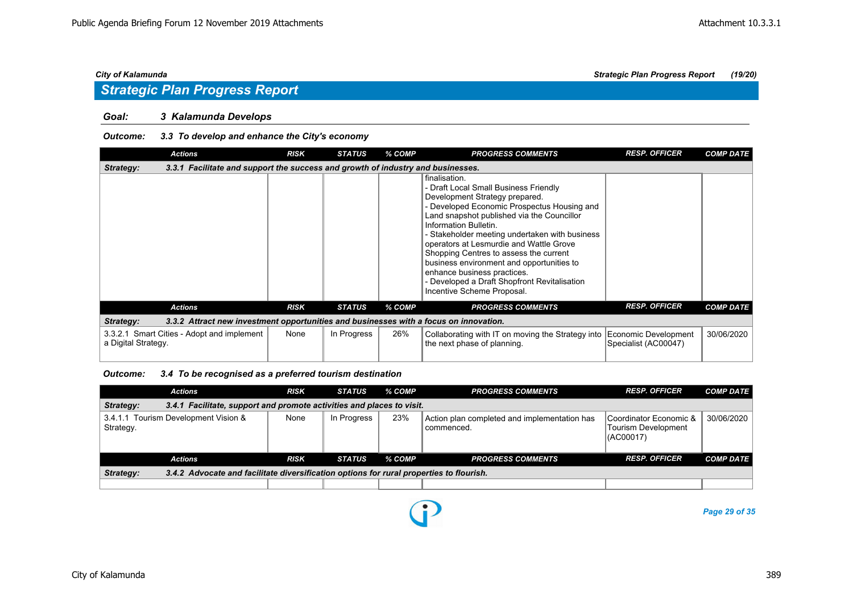## *Strategic Plan Progress Report*

### *Goal: 3 Kalamunda Develops*

### *Outcome: 3.3 To develop and enhance the City's economy*

|                     | <b>Actions</b>                                                                        | <b>RISK</b> | <b>STATUS</b> | % COMP | <b>PROGRESS COMMENTS</b>                                                                                                                                                                                                                                                                                                                                                                                                                                                                                        | <b>RESP. OFFICER</b> | <b>COMP DATE</b> |
|---------------------|---------------------------------------------------------------------------------------|-------------|---------------|--------|-----------------------------------------------------------------------------------------------------------------------------------------------------------------------------------------------------------------------------------------------------------------------------------------------------------------------------------------------------------------------------------------------------------------------------------------------------------------------------------------------------------------|----------------------|------------------|
| Strategy:           | 3.3.1 Facilitate and support the success and growth of industry and businesses.       |             |               |        |                                                                                                                                                                                                                                                                                                                                                                                                                                                                                                                 |                      |                  |
|                     |                                                                                       |             |               |        | finalisation.<br>- Draft Local Small Business Friendly<br>Development Strategy prepared.<br>- Developed Economic Prospectus Housing and<br>Land snapshot published via the Councillor<br>Information Bulletin.<br>- Stakeholder meeting undertaken with business<br>operators at Lesmurdie and Wattle Grove<br>Shopping Centres to assess the current<br>business environment and opportunities to<br>enhance business practices.<br>- Developed a Draft Shopfront Revitalisation<br>Incentive Scheme Proposal. |                      |                  |
|                     | <b>Actions</b>                                                                        | <b>RISK</b> | <b>STATUS</b> | % COMP | <b>PROGRESS COMMENTS</b>                                                                                                                                                                                                                                                                                                                                                                                                                                                                                        | <b>RESP. OFFICER</b> | <b>COMP DATE</b> |
| Strategy:           | 3.3.2 Attract new investment opportunities and businesses with a focus on innovation. |             |               |        |                                                                                                                                                                                                                                                                                                                                                                                                                                                                                                                 |                      |                  |
| a Digital Strategy. | 3.3.2.1 Smart Cities - Adopt and implement                                            | None        | In Progress   | 26%    | Collaborating with IT on moving the Strategy into Economic Development<br>the next phase of planning.                                                                                                                                                                                                                                                                                                                                                                                                           | Specialist (AC00047) | 30/06/2020       |

*Outcome: 3.4 To be recognised as a preferred tourism destination*

| <b>Actions</b>                                                                                       | <b>RISK</b> | <b>STATUS</b> | % COMP | <b>PROGRESS COMMENTS</b>                                   | <b>RESP. OFFICER</b>                                        | <b>COMP DATE</b> |  |  |  |  |
|------------------------------------------------------------------------------------------------------|-------------|---------------|--------|------------------------------------------------------------|-------------------------------------------------------------|------------------|--|--|--|--|
| 3.4.1 Facilitate, support and promote activities and places to visit.<br>Strategy:                   |             |               |        |                                                            |                                                             |                  |  |  |  |  |
| 3.4.1.1 Tourism Development Vision &<br>Strategy.                                                    | None        | In Progress   | 23%    | Action plan completed and implementation has<br>commenced. | Coordinator Economic &<br>Tourism Development<br>I(AC00017) | 30/06/2020       |  |  |  |  |
| <b>Actions</b>                                                                                       | <b>RISK</b> | <b>STATUS</b> | % COMP | <b>PROGRESS COMMENTS</b>                                   | <b>RESP. OFFICER</b>                                        | <b>COMP DATE</b> |  |  |  |  |
| 3.4.2 Advocate and facilitate diversification options for rural properties to flourish.<br>Strategy: |             |               |        |                                                            |                                                             |                  |  |  |  |  |
|                                                                                                      |             |               |        |                                                            |                                                             |                  |  |  |  |  |

P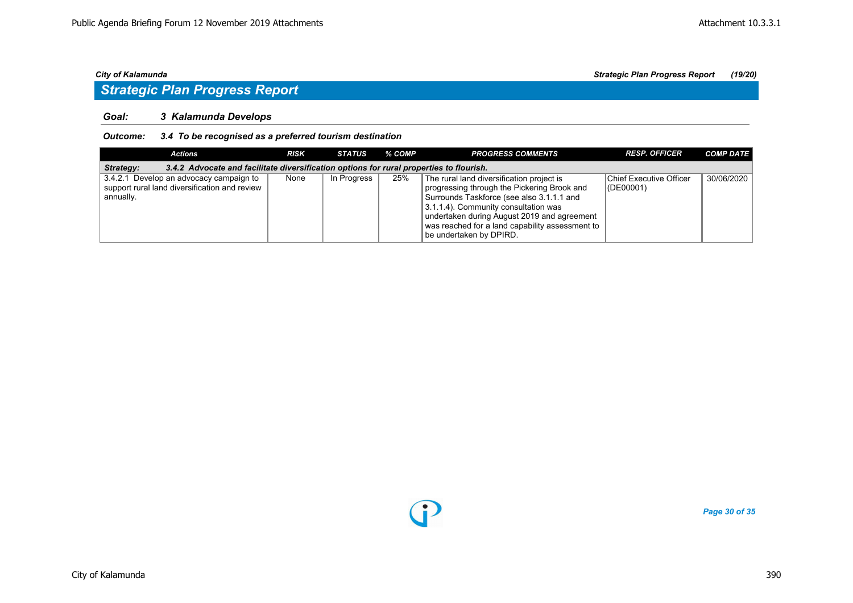## *Strategic Plan Progress Report*

### *Goal: 3 Kalamunda Develops*

### *Outcome: 3.4 To be recognised as a preferred tourism destination*

| Actions                                                                                               | <b>RISK</b> | STATUS      | % COMP | <b>PROGRESS COMMENTS</b>                                                                                                                                                                                                                                                                                   | <b>RESP. OFFICER</b>                        | <b>COMP DATE</b> |  |  |  |  |
|-------------------------------------------------------------------------------------------------------|-------------|-------------|--------|------------------------------------------------------------------------------------------------------------------------------------------------------------------------------------------------------------------------------------------------------------------------------------------------------------|---------------------------------------------|------------------|--|--|--|--|
| 3.4.2 Advocate and facilitate diversification options for rural properties to flourish.<br>Strategy:  |             |             |        |                                                                                                                                                                                                                                                                                                            |                                             |                  |  |  |  |  |
| 3.4.2.1 Develop an advocacy campaign to<br>support rural land diversification and review<br>annually. | None        | In Progress | 25%    | The rural land diversification project is<br>progressing through the Pickering Brook and<br>Surrounds Taskforce (see also 3.1.1.1 and<br>3.1.1.4). Community consultation was<br>undertaken during August 2019 and agreement<br>was reached for a land capability assessment to<br>be undertaken by DPIRD. | <b>Chief Executive Officer</b><br>(DE00001) | 30/06/2020       |  |  |  |  |

*Page 30 of 35*

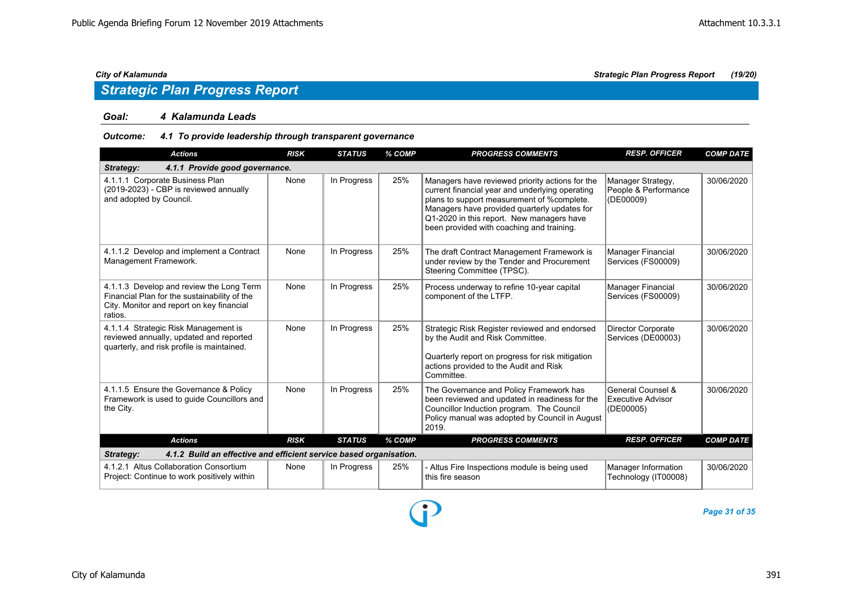### *Goal: 4 Kalamunda Leads*

### *Outcome: 4.1 To provide leadership through transparent governance*

| <b>Actions</b>                                                                                                                                   | <b>RISK</b> | <b>STATUS</b> | % COMP | <b>PROGRESS COMMENTS</b>                                                                                                                                                                                                                                                                   | <b>RESP. OFFICER</b>                                       | <b>COMP DATE</b> |
|--------------------------------------------------------------------------------------------------------------------------------------------------|-------------|---------------|--------|--------------------------------------------------------------------------------------------------------------------------------------------------------------------------------------------------------------------------------------------------------------------------------------------|------------------------------------------------------------|------------------|
| 4.1.1 Provide good governance.<br>Strategy:                                                                                                      |             |               |        |                                                                                                                                                                                                                                                                                            |                                                            |                  |
| 4.1.1.1 Corporate Business Plan<br>(2019-2023) - CBP is reviewed annually<br>and adopted by Council.                                             | None        | In Progress   | 25%    | Managers have reviewed priority actions for the<br>current financial year and underlying operating<br>plans to support measurement of %complete.<br>Managers have provided quarterly updates for<br>Q1-2020 in this report. New managers have<br>been provided with coaching and training. | Manager Strategy,<br>People & Performance<br>(DE00009)     | 30/06/2020       |
| 4.1.1.2 Develop and implement a Contract<br>Management Framework.                                                                                | None        | In Progress   | 25%    | The draft Contract Management Framework is<br>under review by the Tender and Procurement<br>Steering Committee (TPSC).                                                                                                                                                                     | Manager Financial<br>Services (FS00009)                    | 30/06/2020       |
| 4.1.1.3 Develop and review the Long Term<br>Financial Plan for the sustainability of the<br>City. Monitor and report on key financial<br>ratios. | None        | In Progress   | 25%    | Process underway to refine 10-year capital<br>component of the LTFP.                                                                                                                                                                                                                       | Manager Financial<br>Services (FS00009)                    | 30/06/2020       |
| 4.1.1.4 Strategic Risk Management is<br>reviewed annually, updated and reported<br>quarterly, and risk profile is maintained.                    | None        | In Progress   | 25%    | Strategic Risk Register reviewed and endorsed<br>by the Audit and Risk Committee.<br>Quarterly report on progress for risk mitigation<br>actions provided to the Audit and Risk<br>Committee.                                                                                              | <b>Director Corporate</b><br>Services (DE00003)            | 30/06/2020       |
| 4.1.1.5 Ensure the Governance & Policy<br>Framework is used to quide Councillors and<br>the City.                                                | None        | In Progress   | 25%    | The Governance and Policy Framework has<br>been reviewed and updated in readiness for the<br>Councillor Induction program. The Council<br>Policy manual was adopted by Council in August<br>2019.                                                                                          | General Counsel &<br><b>Executive Advisor</b><br>(DE00005) | 30/06/2020       |
| <b>Actions</b>                                                                                                                                   | <b>RISK</b> | <b>STATUS</b> | % COMP | <b>PROGRESS COMMENTS</b>                                                                                                                                                                                                                                                                   | <b>RESP. OFFICER</b>                                       | <b>COMP DATE</b> |
| 4.1.2 Build an effective and efficient service based organisation.<br>Strategy:                                                                  |             |               |        |                                                                                                                                                                                                                                                                                            |                                                            |                  |
| 4.1.2.1 Altus Collaboration Consortium<br>Project: Continue to work positively within                                                            | None        | In Progress   | 25%    | - Altus Fire Inspections module is being used<br>this fire season                                                                                                                                                                                                                          | Manager Information<br>Technology (IT00008)                | 30/06/2020       |

D

*City of Kalamunda Strategic Plan Progress Report (19/20)*

*Page 31 of 35*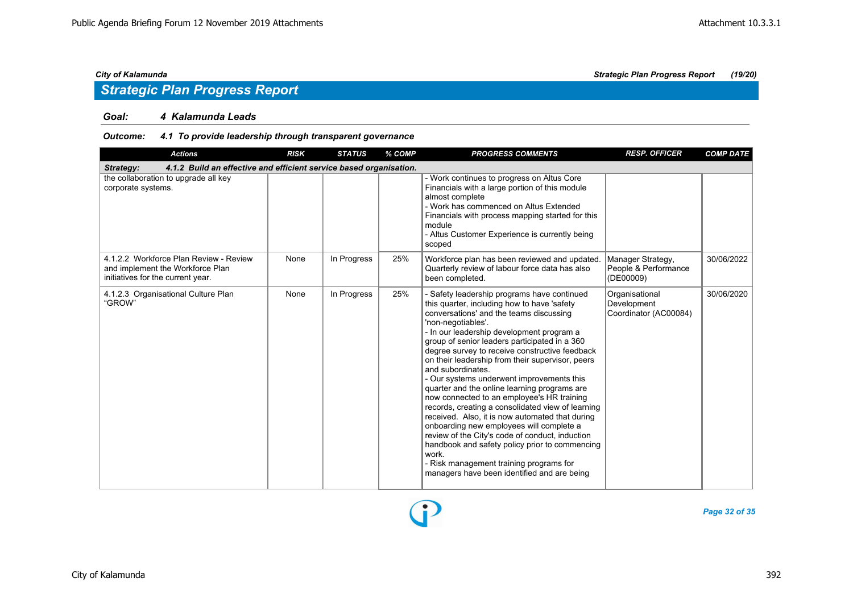## *Strategic Plan Progress Report*

### *Goal: 4 Kalamunda Leads*

### *Outcome: 4.1 To provide leadership through transparent governance*

| <b>Actions</b>                                                                                                  | <b>RISK</b> | <b>STATUS</b> | % COMP | <b>PROGRESS COMMENTS</b>                                                                                                                                                                                                                                                                                                                                                                                                                                                                                                                                                                                                                                                                                                                                                                                                                                                                    | <b>RESP. OFFICER</b>                                   | <b>COMP DATE</b> |
|-----------------------------------------------------------------------------------------------------------------|-------------|---------------|--------|---------------------------------------------------------------------------------------------------------------------------------------------------------------------------------------------------------------------------------------------------------------------------------------------------------------------------------------------------------------------------------------------------------------------------------------------------------------------------------------------------------------------------------------------------------------------------------------------------------------------------------------------------------------------------------------------------------------------------------------------------------------------------------------------------------------------------------------------------------------------------------------------|--------------------------------------------------------|------------------|
| 4.1.2 Build an effective and efficient service based organisation.<br>Strategy:                                 |             |               |        |                                                                                                                                                                                                                                                                                                                                                                                                                                                                                                                                                                                                                                                                                                                                                                                                                                                                                             |                                                        |                  |
| the collaboration to upgrade all key<br>corporate systems.                                                      |             |               |        | - Work continues to progress on Altus Core<br>Financials with a large portion of this module<br>almost complete<br>- Work has commenced on Altus Extended<br>Financials with process mapping started for this<br>module<br>- Altus Customer Experience is currently being<br>scoped                                                                                                                                                                                                                                                                                                                                                                                                                                                                                                                                                                                                         |                                                        |                  |
| 4.1.2.2 Workforce Plan Review - Review<br>and implement the Workforce Plan<br>initiatives for the current year. | None        | In Progress   | 25%    | Workforce plan has been reviewed and updated.<br>Quarterly review of labour force data has also<br>been completed.                                                                                                                                                                                                                                                                                                                                                                                                                                                                                                                                                                                                                                                                                                                                                                          | Manager Strategy,<br>People & Performance<br>(DE00009) | 30/06/2022       |
| 4.1.2.3 Organisational Culture Plan<br>"GROW"                                                                   | None        | In Progress   | 25%    | - Safety leadership programs have continued<br>this quarter, including how to have 'safety<br>conversations' and the teams discussing<br>'non-negotiables'.<br>- In our leadership development program a<br>group of senior leaders participated in a 360<br>degree survey to receive constructive feedback<br>on their leadership from their supervisor, peers<br>and subordinates.<br>- Our systems underwent improvements this<br>quarter and the online learning programs are<br>now connected to an employee's HR training<br>records, creating a consolidated view of learning<br>received. Also, it is now automated that during<br>onboarding new employees will complete a<br>review of the City's code of conduct, induction<br>handbook and safety policy prior to commencing<br>work.<br>- Risk management training programs for<br>managers have been identified and are being | Organisational<br>Development<br>Coordinator (AC00084) | 30/06/2020       |

*Page 32 of 35*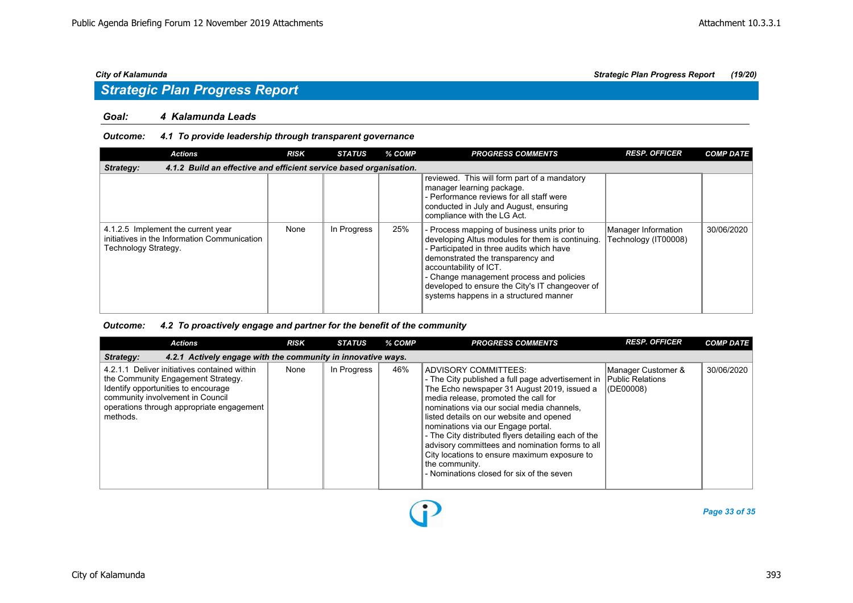### *Goal: 4 Kalamunda Leads*

### *Outcome: 4.1 To provide leadership through transparent governance*

| Actions                                                                                                    | <b>RISK</b> | <b>STATUS</b> | % COMP | <b>PROGRESS COMMENTS</b>                                                                                                                                                                                                                                                                                                                              | <b>RESP. OFFICER</b>                        | <b>COMP DATE</b> |  |  |  |
|------------------------------------------------------------------------------------------------------------|-------------|---------------|--------|-------------------------------------------------------------------------------------------------------------------------------------------------------------------------------------------------------------------------------------------------------------------------------------------------------------------------------------------------------|---------------------------------------------|------------------|--|--|--|
| 4.1.2 Build an effective and efficient service based organisation.<br>Strategy:                            |             |               |        |                                                                                                                                                                                                                                                                                                                                                       |                                             |                  |  |  |  |
|                                                                                                            |             |               |        | reviewed. This will form part of a mandatory<br>manager learning package.<br>- Performance reviews for all staff were<br>conducted in July and August, ensuring<br>compliance with the LG Act.                                                                                                                                                        |                                             |                  |  |  |  |
| 4.1.2.5 Implement the current year<br>initiatives in the Information Communication<br>Technology Strategy. | None        | In Progress   | 25%    | - Process mapping of business units prior to<br>developing Altus modules for them is continuing.<br>- Participated in three audits which have<br>demonstrated the transparency and<br>accountability of ICT.<br>- Change management process and policies<br>developed to ensure the City's IT changeover of<br>systems happens in a structured manner | Manager Information<br>Technology (IT00008) | 30/06/2020       |  |  |  |

### *Outcome: 4.2 To proactively engage and partner for the benefit of the community*

| <b>Actions</b>                                                                                                                                                                                                         | <b>RISK</b> | <b>STATUS</b> | % COMP | <b>PROGRESS COMMENTS</b>                                                                                                                                                                                                                                                                                                                                                                                                                                                                                                                   | <b>RESP. OFFICER</b>                | <b>COMP DATE</b> |  |  |  |
|------------------------------------------------------------------------------------------------------------------------------------------------------------------------------------------------------------------------|-------------|---------------|--------|--------------------------------------------------------------------------------------------------------------------------------------------------------------------------------------------------------------------------------------------------------------------------------------------------------------------------------------------------------------------------------------------------------------------------------------------------------------------------------------------------------------------------------------------|-------------------------------------|------------------|--|--|--|
| 4.2.1 Actively engage with the community in innovative ways.<br>Strategy:                                                                                                                                              |             |               |        |                                                                                                                                                                                                                                                                                                                                                                                                                                                                                                                                            |                                     |                  |  |  |  |
| 4.2.1.1 Deliver initiatives contained within<br>the Community Engagement Strategy.<br>Identify opportunities to encourage<br>community involvement in Council<br>operations through appropriate engagement<br>methods. | None        | In Progress   | 46%    | ADVISORY COMMITTEES:<br>- The City published a full page advertisement in Public Relations<br>The Echo newspaper 31 August 2019, issued a<br>media release, promoted the call for<br>nominations via our social media channels,<br>listed details on our website and opened<br>nominations via our Engage portal.<br>- The City distributed flyers detailing each of the<br>advisory committees and nomination forms to all<br>City locations to ensure maximum exposure to<br>the community.<br>- Nominations closed for six of the seven | Manager Customer &<br>$ $ (DE00008) | 30/06/2020       |  |  |  |

D

*Page 33 of 35*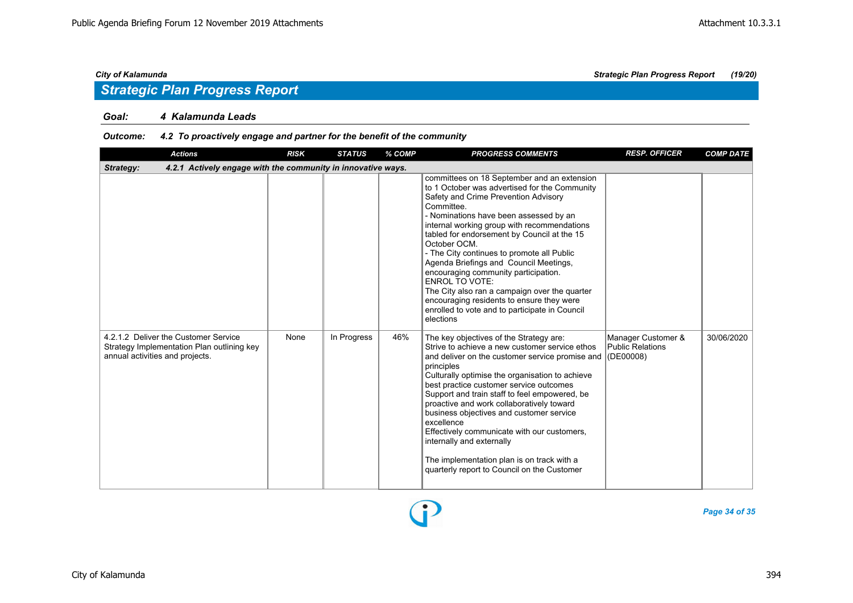### *Goal: 4 Kalamunda Leads*

### *Outcome: 4.2 To proactively engage and partner for the benefit of the community*

| <b>Actions</b>                                                                                                        | <b>RISK</b> | <b>STATUS</b> | % COMP | <b>PROGRESS COMMENTS</b>                                                                                                                                                                                                                                                                                                                                                                                                                                                                                                                                                                                                         | <b>RESP. OFFICER</b>                          | <b>COMP DATE</b> |  |  |
|-----------------------------------------------------------------------------------------------------------------------|-------------|---------------|--------|----------------------------------------------------------------------------------------------------------------------------------------------------------------------------------------------------------------------------------------------------------------------------------------------------------------------------------------------------------------------------------------------------------------------------------------------------------------------------------------------------------------------------------------------------------------------------------------------------------------------------------|-----------------------------------------------|------------------|--|--|
| 4.2.1 Actively engage with the community in innovative ways.<br>Strategy:                                             |             |               |        |                                                                                                                                                                                                                                                                                                                                                                                                                                                                                                                                                                                                                                  |                                               |                  |  |  |
|                                                                                                                       |             |               |        | committees on 18 September and an extension<br>to 1 October was advertised for the Community<br>Safety and Crime Prevention Advisory<br>Committee.<br>- Nominations have been assessed by an<br>internal working group with recommendations<br>tabled for endorsement by Council at the 15<br>October OCM.<br>- The City continues to promote all Public<br>Agenda Briefings and Council Meetings,<br>encouraging community participation.<br><b>ENROL TO VOTE:</b><br>The City also ran a campaign over the quarter<br>encouraging residents to ensure they were<br>enrolled to vote and to participate in Council<br>elections |                                               |                  |  |  |
| 4.2.1.2 Deliver the Customer Service<br>Strategy Implementation Plan outlining key<br>annual activities and projects. | None        | In Progress   | 46%    | The key objectives of the Strategy are:<br>Strive to achieve a new customer service ethos<br>and deliver on the customer service promise and (DE00008)<br>principles<br>Culturally optimise the organisation to achieve<br>best practice customer service outcomes<br>Support and train staff to feel empowered, be<br>proactive and work collaboratively toward<br>business objectives and customer service<br>excellence<br>Effectively communicate with our customers,<br>internally and externally<br>The implementation plan is on track with a<br>quarterly report to Council on the Customer                              | Manager Customer &<br><b>Public Relations</b> | 30/06/2020       |  |  |

*Page 34 of 35*